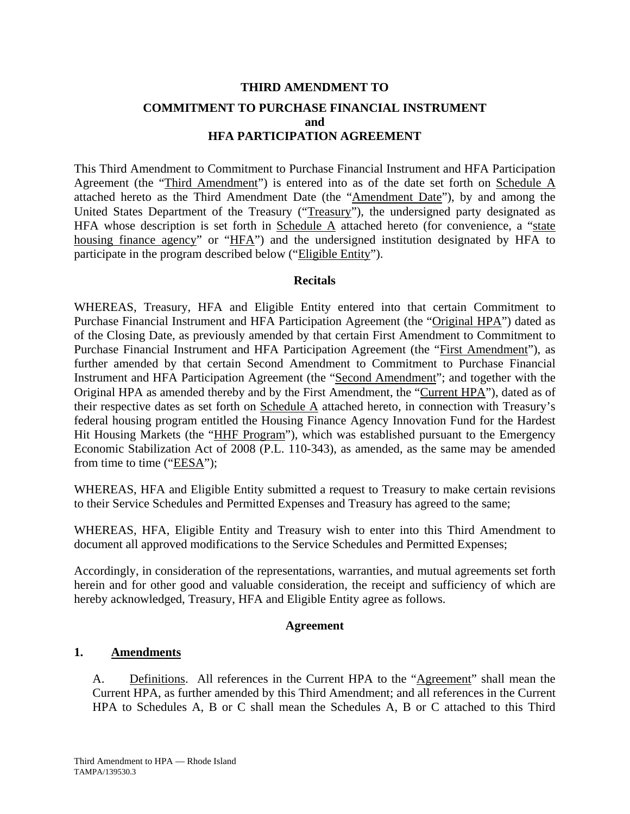# **THIRD AMENDMENT TO COMMITMENT TO PURCHASE FINANCIAL INSTRUMENT and HFA PARTICIPATION AGREEMENT**

This Third Amendment to Commitment to Purchase Financial Instrument and HFA Participation Agreement (the "Third Amendment") is entered into as of the date set forth on Schedule A attached hereto as the Third Amendment Date (the "Amendment Date"), by and among the United States Department of the Treasury ("Treasury"), the undersigned party designated as HFA whose description is set forth in Schedule  $\overline{A}$  attached hereto (for convenience, a "state housing finance agency" or "HFA") and the undersigned institution designated by HFA to participate in the program described below ("Eligible Entity").

#### **Recitals**

WHEREAS, Treasury, HFA and Eligible Entity entered into that certain Commitment to Purchase Financial Instrument and HFA Participation Agreement (the "Original HPA") dated as of the Closing Date, as previously amended by that certain First Amendment to Commitment to Purchase Financial Instrument and HFA Participation Agreement (the "First Amendment"), as further amended by that certain Second Amendment to Commitment to Purchase Financial Instrument and HFA Participation Agreement (the "Second Amendment"; and together with the Original HPA as amended thereby and by the First Amendment, the "Current HPA"), dated as of their respective dates as set forth on Schedule A attached hereto, in connection with Treasury's federal housing program entitled the Housing Finance Agency Innovation Fund for the Hardest Hit Housing Markets (the "HHF Program"), which was established pursuant to the Emergency Economic Stabilization Act of 2008 (P.L. 110-343), as amended, as the same may be amended from time to time ("EESA");

WHEREAS, HFA and Eligible Entity submitted a request to Treasury to make certain revisions to their Service Schedules and Permitted Expenses and Treasury has agreed to the same;

WHEREAS, HFA, Eligible Entity and Treasury wish to enter into this Third Amendment to document all approved modifications to the Service Schedules and Permitted Expenses;

Accordingly, in consideration of the representations, warranties, and mutual agreements set forth herein and for other good and valuable consideration, the receipt and sufficiency of which are hereby acknowledged, Treasury, HFA and Eligible Entity agree as follows.

#### **Agreement**

## **1. Amendments**

A. Definitions. All references in the Current HPA to the "Agreement" shall mean the Current HPA, as further amended by this Third Amendment; and all references in the Current HPA to Schedules A, B or C shall mean the Schedules A, B or C attached to this Third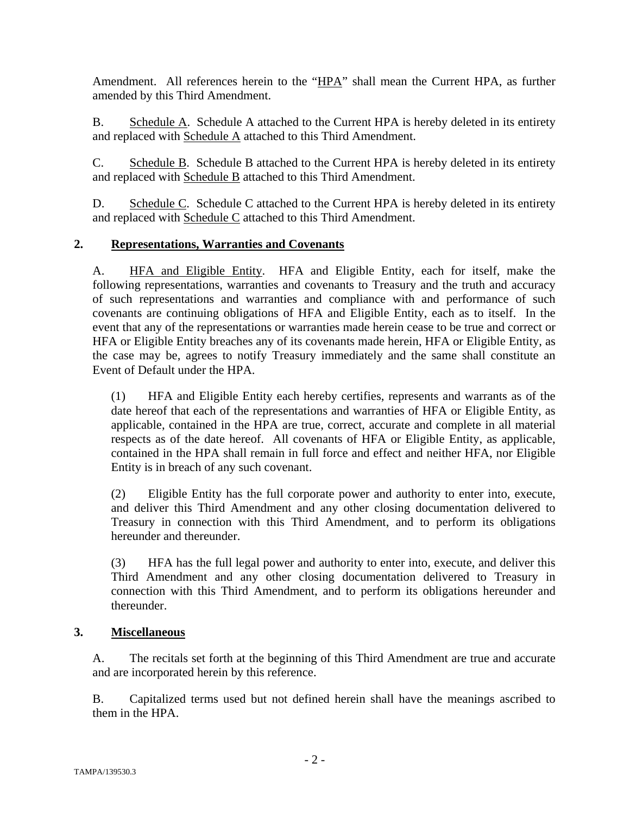Amendment. All references herein to the "HPA" shall mean the Current HPA, as further amended by this Third Amendment.

B. Schedule A. Schedule A attached to the Current HPA is hereby deleted in its entirety and replaced with Schedule A attached to this Third Amendment.

C. Schedule B. Schedule B attached to the Current HPA is hereby deleted in its entirety and replaced with Schedule B attached to this Third Amendment.

D. Schedule C. Schedule C attached to the Current HPA is hereby deleted in its entirety and replaced with Schedule C attached to this Third Amendment.

## **2. Representations, Warranties and Covenants**

A. HFA and Eligible Entity. HFA and Eligible Entity, each for itself, make the following representations, warranties and covenants to Treasury and the truth and accuracy of such representations and warranties and compliance with and performance of such covenants are continuing obligations of HFA and Eligible Entity, each as to itself. In the event that any of the representations or warranties made herein cease to be true and correct or HFA or Eligible Entity breaches any of its covenants made herein, HFA or Eligible Entity, as the case may be, agrees to notify Treasury immediately and the same shall constitute an Event of Default under the HPA.

(1) HFA and Eligible Entity each hereby certifies, represents and warrants as of the date hereof that each of the representations and warranties of HFA or Eligible Entity, as applicable, contained in the HPA are true, correct, accurate and complete in all material respects as of the date hereof. All covenants of HFA or Eligible Entity, as applicable, contained in the HPA shall remain in full force and effect and neither HFA, nor Eligible Entity is in breach of any such covenant.

(2) Eligible Entity has the full corporate power and authority to enter into, execute, and deliver this Third Amendment and any other closing documentation delivered to Treasury in connection with this Third Amendment, and to perform its obligations hereunder and thereunder.

(3) HFA has the full legal power and authority to enter into, execute, and deliver this Third Amendment and any other closing documentation delivered to Treasury in connection with this Third Amendment, and to perform its obligations hereunder and thereunder.

## **3. Miscellaneous**

A. The recitals set forth at the beginning of this Third Amendment are true and accurate and are incorporated herein by this reference.

B. Capitalized terms used but not defined herein shall have the meanings ascribed to them in the HPA.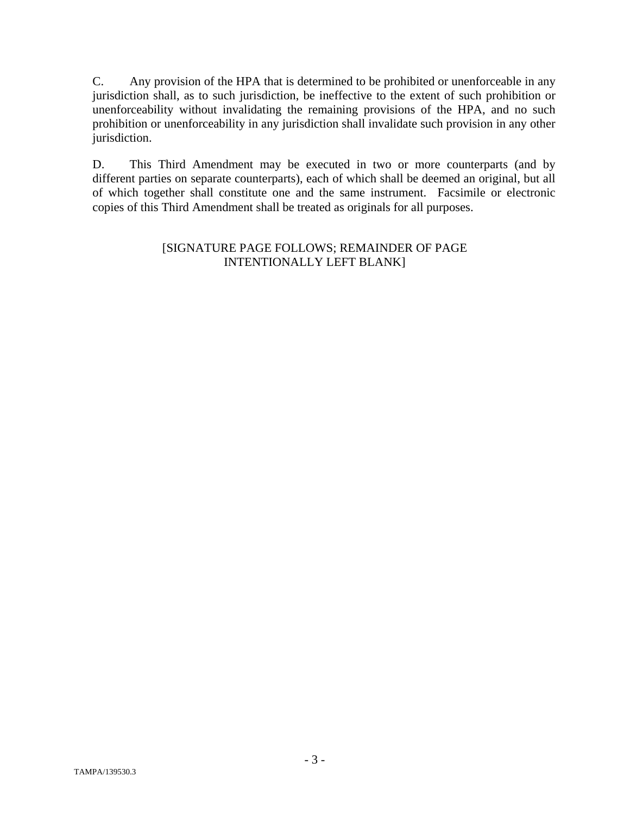C. Any provision of the HPA that is determined to be prohibited or unenforceable in any jurisdiction shall, as to such jurisdiction, be ineffective to the extent of such prohibition or unenforceability without invalidating the remaining provisions of the HPA, and no such prohibition or unenforceability in any jurisdiction shall invalidate such provision in any other jurisdiction.

D. This Third Amendment may be executed in two or more counterparts (and by different parties on separate counterparts), each of which shall be deemed an original, but all of which together shall constitute one and the same instrument. Facsimile or electronic copies of this Third Amendment shall be treated as originals for all purposes.

#### [SIGNATURE PAGE FOLLOWS; REMAINDER OF PAGE INTENTIONALLY LEFT BLANK]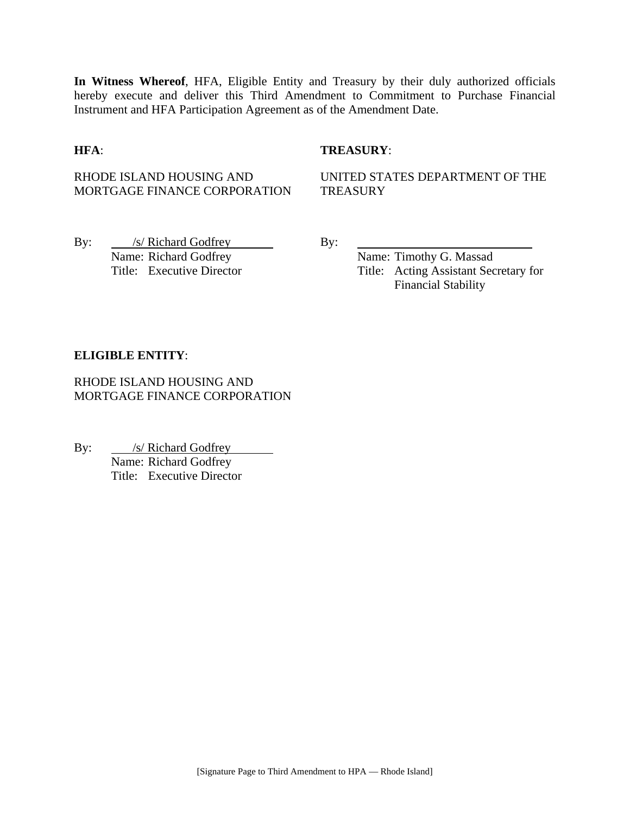**In Witness Whereof**, HFA, Eligible Entity and Treasury by their duly authorized officials hereby execute and deliver this Third Amendment to Commitment to Purchase Financial Instrument and HFA Participation Agreement as of the Amendment Date.

#### **HFA**: **TREASURY**:

RHODE ISLAND HOUSING AND MORTGAGE FINANCE CORPORATION

UNITED STATES DEPARTMENT OF THE **TREASURY** 

By: /s/ Richard Godfrey By: Name: Richard Godfrey Name: Timothy G. Massad

Title: Executive Director Title: Acting Assistant Secretary for Financial Stability

#### **ELIGIBLE ENTITY**:

RHODE ISLAND HOUSING AND MORTGAGE FINANCE CORPORATION

By: <u>/s/ Richard Godfrey</u> Name: Richard Godfrey Title: Executive Director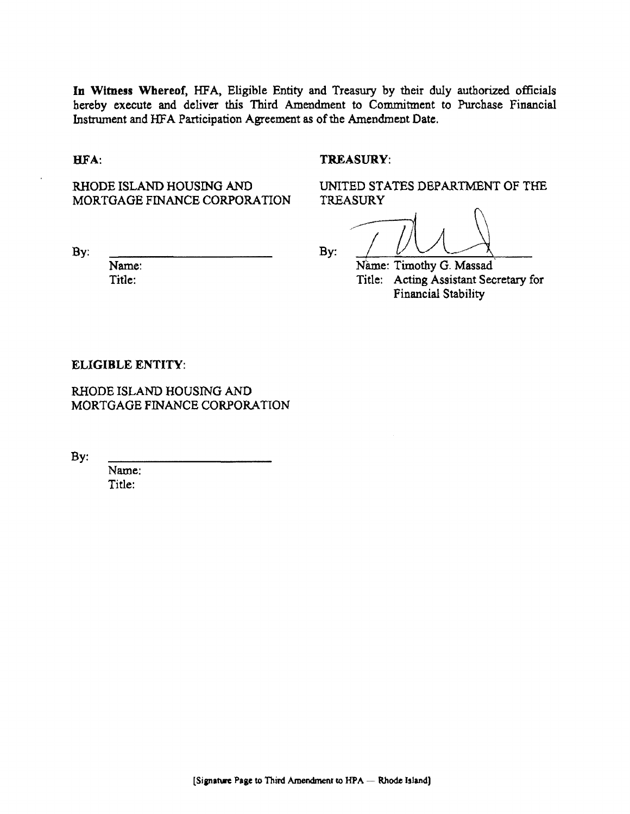**In** Witness Whereof, HFA, Eligible Entity and Treasury by their duly authorized officials hereby execute and deliver this Third Amendment to Commitment to Purchase Financial Instrument and HFA Participation Agreement as of the Amendment Date.

#### HFA:

#### TREASURY:

TREASURY

RHODE ISLAND HOUSING AND MORTGAGE FINANCE CORPORATION

By:

Name: Title:

By:  $\frac{1}{\sqrt{2\pi}}$   $\frac{1}{\sqrt{2\pi}}$   $\frac{1}{\sqrt{2\pi}}$   $\frac{1}{\sqrt{2\pi}}$   $\frac{1}{\sqrt{2\pi}}$   $\frac{1}{\sqrt{2\pi}}$   $\frac{1}{\sqrt{2\pi}}$   $\frac{1}{\sqrt{2\pi}}$   $\frac{1}{\sqrt{2\pi}}$   $\frac{1}{\sqrt{2\pi}}$   $\frac{1}{\sqrt{2\pi}}$   $\frac{1}{\sqrt{2\pi}}$   $\frac{1}{\sqrt{2\pi}}$   $\frac{1}{\sqrt{2\pi}}$   $\frac{1}{\$ Title: Acting Assistant Secretary for Financial Stability

UNITED STATES DEPARTMENT OF THE

#### ELIGIBLE ENTITY:

RHODE ISLAND HOUSING AND MORTGAGE FINANCE CORPORATION

By:

Name: Title: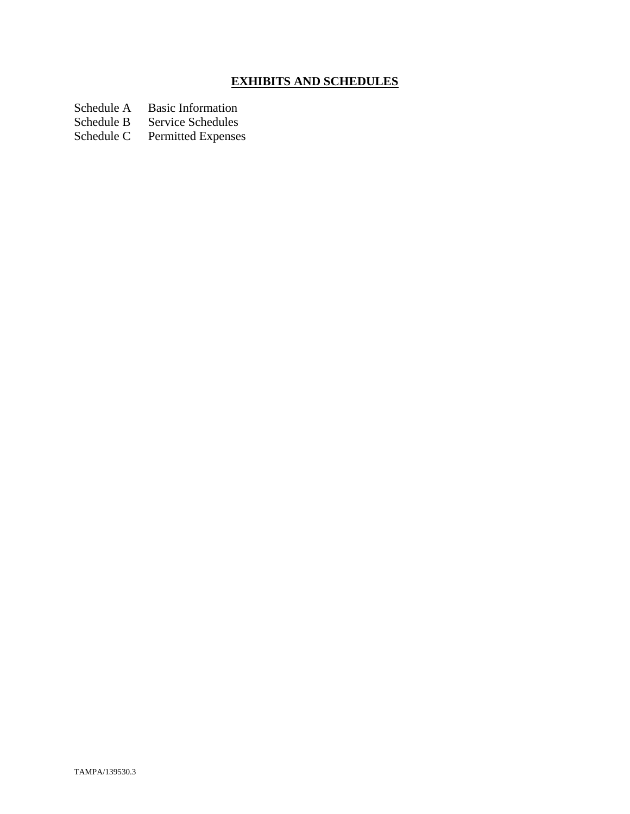# **EXHIBITS AND SCHEDULES**

Schedule A Basic Information<br>Schedule B Service Schedules

Schedule B Service Schedules<br>Schedule C Permitted Expenses

Permitted Expenses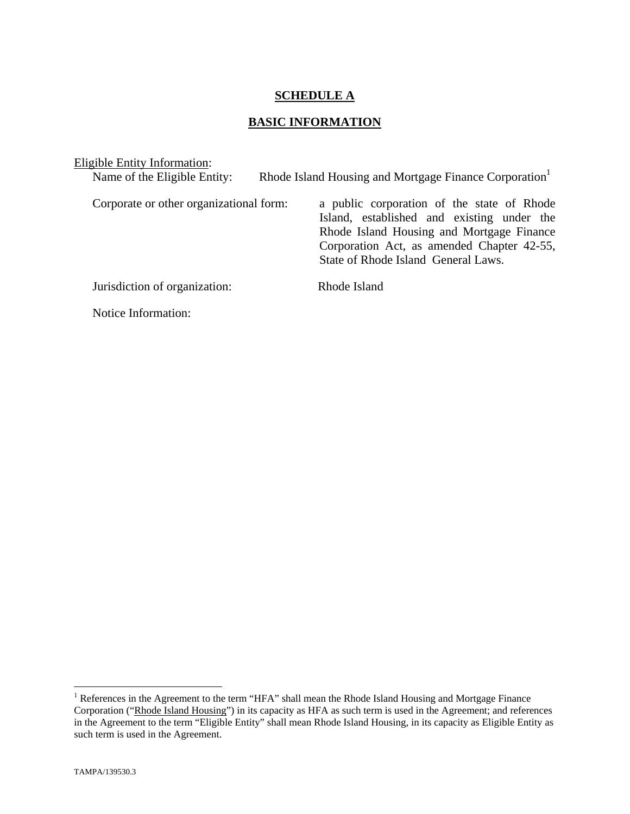#### **SCHEDULE A**

## **BASIC INFORMATION**

| Eligible Entity Information:            |                                                                                                                                                                                                                            |
|-----------------------------------------|----------------------------------------------------------------------------------------------------------------------------------------------------------------------------------------------------------------------------|
| Name of the Eligible Entity:            | Rhode Island Housing and Mortgage Finance Corporation                                                                                                                                                                      |
| Corporate or other organizational form: | a public corporation of the state of Rhode<br>Island, established and existing under the<br>Rhode Island Housing and Mortgage Finance<br>Corporation Act, as amended Chapter 42-55,<br>State of Rhode Island General Laws. |
| Jurisdiction of organization:           | Rhode Island                                                                                                                                                                                                               |
| Notice Information:                     |                                                                                                                                                                                                                            |

The Teres in the Agreement to the term "HFA" shall mean the Rhode Island Housing and Mortgage Finance Corporation ("Rhode Island Housing") in its capacity as HFA as such term is used in the Agreement; and references in the Agreement to the term "Eligible Entity" shall mean Rhode Island Housing, in its capacity as Eligible Entity as such term is used in the Agreement.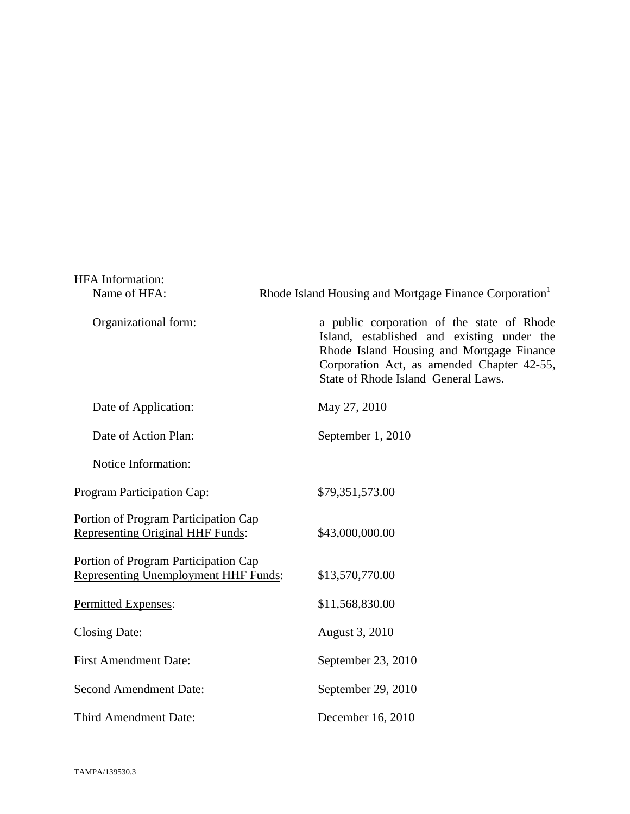| <b>HFA</b> Information:                                                             |                                                                                                                                                                                                                            |
|-------------------------------------------------------------------------------------|----------------------------------------------------------------------------------------------------------------------------------------------------------------------------------------------------------------------------|
| Name of HFA:                                                                        | Rhode Island Housing and Mortgage Finance Corporation <sup>1</sup>                                                                                                                                                         |
| Organizational form:                                                                | a public corporation of the state of Rhode<br>Island, established and existing under the<br>Rhode Island Housing and Mortgage Finance<br>Corporation Act, as amended Chapter 42-55,<br>State of Rhode Island General Laws. |
| Date of Application:                                                                | May 27, 2010                                                                                                                                                                                                               |
| Date of Action Plan:                                                                | September 1, 2010                                                                                                                                                                                                          |
| Notice Information:                                                                 |                                                                                                                                                                                                                            |
| <b>Program Participation Cap:</b>                                                   | \$79,351,573.00                                                                                                                                                                                                            |
| Portion of Program Participation Cap<br><b>Representing Original HHF Funds:</b>     | \$43,000,000.00                                                                                                                                                                                                            |
| Portion of Program Participation Cap<br><b>Representing Unemployment HHF Funds:</b> | \$13,570,770.00                                                                                                                                                                                                            |
| Permitted Expenses:                                                                 | \$11,568,830.00                                                                                                                                                                                                            |
| <b>Closing Date:</b>                                                                | August 3, 2010                                                                                                                                                                                                             |
| <b>First Amendment Date:</b>                                                        | September 23, 2010                                                                                                                                                                                                         |
| <b>Second Amendment Date:</b>                                                       | September 29, 2010                                                                                                                                                                                                         |
| Third Amendment Date:                                                               | December 16, 2010                                                                                                                                                                                                          |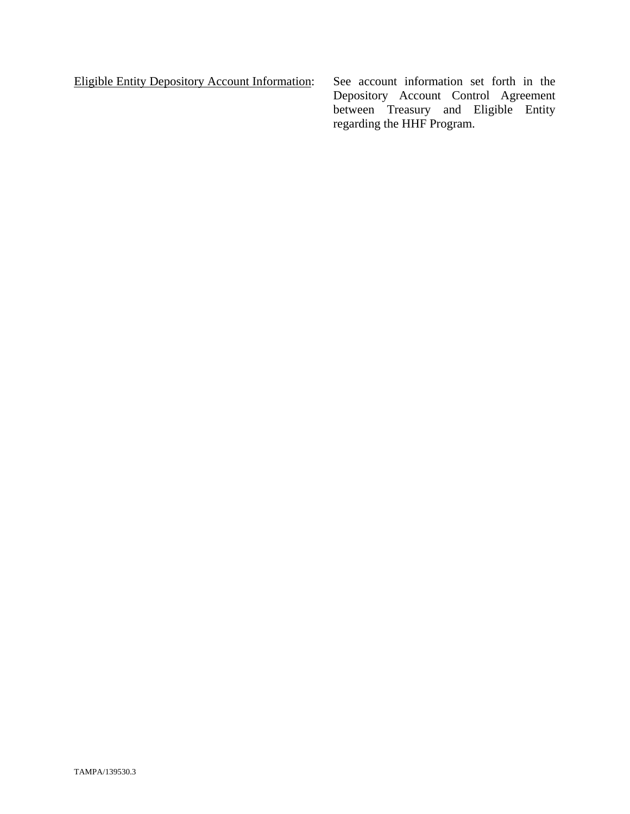Eligible Entity Depository Account Information: See account information set forth in the

Depository Account Control Agreement between Treasury and Eligible Entity regarding the HHF Program.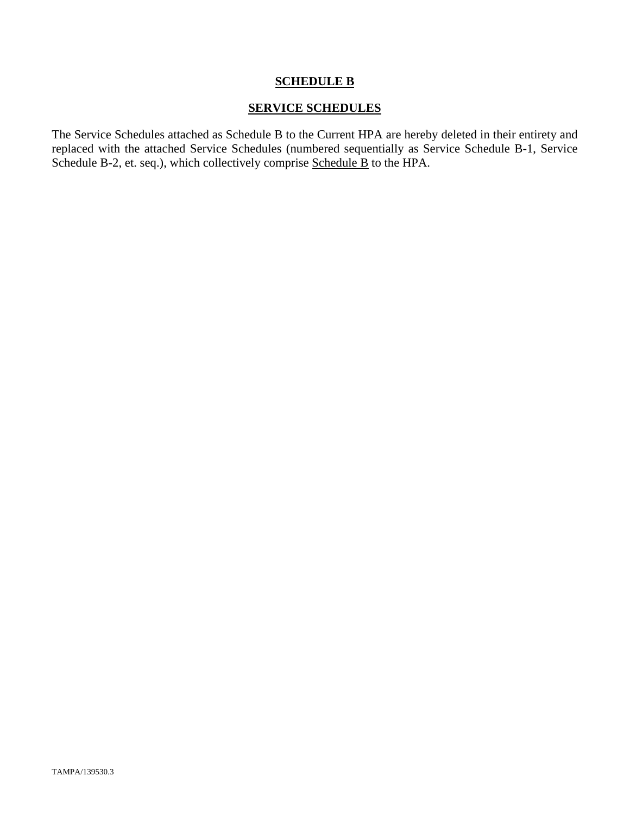## **SCHEDULE B**

#### **SERVICE SCHEDULES**

The Service Schedules attached as Schedule B to the Current HPA are hereby deleted in their entirety and replaced with the attached Service Schedules (numbered sequentially as Service Schedule B-1, Service Schedule B-2, et. seq.), which collectively comprise Schedule B to the HPA.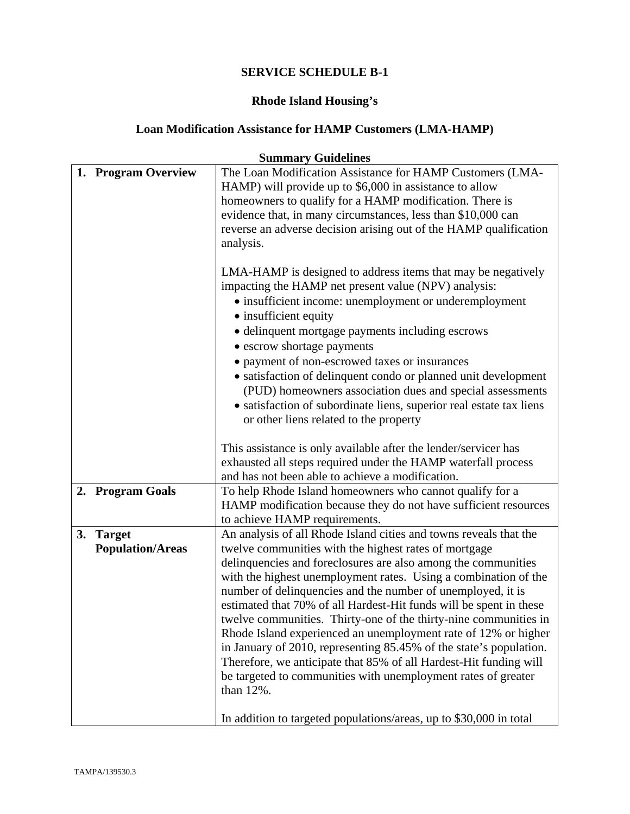# **Rhode Island Housing's**

## **Loan Modification Assistance for HAMP Customers (LMA-HAMP)**

| Summary Guidennes |                         |                                                                     |
|-------------------|-------------------------|---------------------------------------------------------------------|
|                   | 1. Program Overview     | The Loan Modification Assistance for HAMP Customers (LMA-           |
|                   |                         | HAMP) will provide up to \$6,000 in assistance to allow             |
|                   |                         | homeowners to qualify for a HAMP modification. There is             |
|                   |                         | evidence that, in many circumstances, less than \$10,000 can        |
|                   |                         | reverse an adverse decision arising out of the HAMP qualification   |
|                   |                         | analysis.                                                           |
|                   |                         |                                                                     |
|                   |                         | LMA-HAMP is designed to address items that may be negatively        |
|                   |                         | impacting the HAMP net present value (NPV) analysis:                |
|                   |                         | • insufficient income: unemployment or underemployment              |
|                   |                         | • insufficient equity                                               |
|                   |                         |                                                                     |
|                   |                         | • delinquent mortgage payments including escrows                    |
|                   |                         | • escrow shortage payments                                          |
|                   |                         | • payment of non-escrowed taxes or insurances                       |
|                   |                         | • satisfaction of delinquent condo or planned unit development      |
|                   |                         | (PUD) homeowners association dues and special assessments           |
|                   |                         | • satisfaction of subordinate liens, superior real estate tax liens |
|                   |                         | or other liens related to the property                              |
|                   |                         |                                                                     |
|                   |                         | This assistance is only available after the lender/servicer has     |
|                   |                         | exhausted all steps required under the HAMP waterfall process       |
|                   |                         | and has not been able to achieve a modification.                    |
|                   | 2. Program Goals        | To help Rhode Island homeowners who cannot qualify for a            |
|                   |                         | HAMP modification because they do not have sufficient resources     |
|                   |                         | to achieve HAMP requirements.                                       |
| 3.                | <b>Target</b>           | An analysis of all Rhode Island cities and towns reveals that the   |
|                   | <b>Population/Areas</b> | twelve communities with the highest rates of mortgage               |
|                   |                         | delinquencies and foreclosures are also among the communities       |
|                   |                         | with the highest unemployment rates. Using a combination of the     |
|                   |                         | number of delinquencies and the number of unemployed, it is         |
|                   |                         | estimated that 70% of all Hardest-Hit funds will be spent in these  |
|                   |                         | twelve communities. Thirty-one of the thirty-nine communities in    |
|                   |                         | Rhode Island experienced an unemployment rate of 12% or higher      |
|                   |                         | in January of 2010, representing 85.45% of the state's population.  |
|                   |                         | Therefore, we anticipate that 85% of all Hardest-Hit funding will   |
|                   |                         | be targeted to communities with unemployment rates of greater       |
|                   |                         | than 12%.                                                           |
|                   |                         |                                                                     |
|                   |                         | In addition to targeted populations/areas, up to \$30,000 in total  |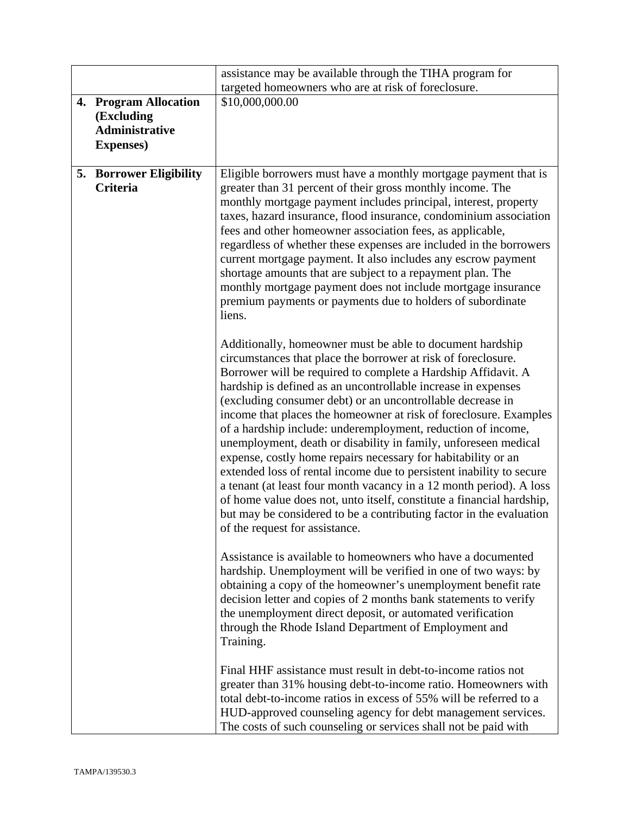|    |                                                                                       | assistance may be available through the TIHA program for                                                                                                                                                                                                                                                                                                                                                                                                                                                                                                                                                                                                                                                                                                                                                                                                                                                                             |
|----|---------------------------------------------------------------------------------------|--------------------------------------------------------------------------------------------------------------------------------------------------------------------------------------------------------------------------------------------------------------------------------------------------------------------------------------------------------------------------------------------------------------------------------------------------------------------------------------------------------------------------------------------------------------------------------------------------------------------------------------------------------------------------------------------------------------------------------------------------------------------------------------------------------------------------------------------------------------------------------------------------------------------------------------|
|    |                                                                                       | targeted homeowners who are at risk of foreclosure.                                                                                                                                                                                                                                                                                                                                                                                                                                                                                                                                                                                                                                                                                                                                                                                                                                                                                  |
| 4. | <b>Program Allocation</b><br>(Excluding<br><b>Administrative</b><br><b>Expenses</b> ) | \$10,000,000.00                                                                                                                                                                                                                                                                                                                                                                                                                                                                                                                                                                                                                                                                                                                                                                                                                                                                                                                      |
|    | 5. Borrower Eligibility<br><b>Criteria</b>                                            | Eligible borrowers must have a monthly mortgage payment that is<br>greater than 31 percent of their gross monthly income. The<br>monthly mortgage payment includes principal, interest, property<br>taxes, hazard insurance, flood insurance, condominium association<br>fees and other homeowner association fees, as applicable,<br>regardless of whether these expenses are included in the borrowers<br>current mortgage payment. It also includes any escrow payment<br>shortage amounts that are subject to a repayment plan. The<br>monthly mortgage payment does not include mortgage insurance<br>premium payments or payments due to holders of subordinate<br>liens.                                                                                                                                                                                                                                                      |
|    |                                                                                       | Additionally, homeowner must be able to document hardship<br>circumstances that place the borrower at risk of foreclosure.<br>Borrower will be required to complete a Hardship Affidavit. A<br>hardship is defined as an uncontrollable increase in expenses<br>(excluding consumer debt) or an uncontrollable decrease in<br>income that places the homeowner at risk of foreclosure. Examples<br>of a hardship include: underemployment, reduction of income,<br>unemployment, death or disability in family, unforeseen medical<br>expense, costly home repairs necessary for habitability or an<br>extended loss of rental income due to persistent inability to secure<br>a tenant (at least four month vacancy in a 12 month period). A loss<br>of home value does not, unto itself, constitute a financial hardship,<br>but may be considered to be a contributing factor in the evaluation<br>of the request for assistance. |
|    |                                                                                       | Assistance is available to homeowners who have a documented<br>hardship. Unemployment will be verified in one of two ways: by<br>obtaining a copy of the homeowner's unemployment benefit rate<br>decision letter and copies of 2 months bank statements to verify<br>the unemployment direct deposit, or automated verification<br>through the Rhode Island Department of Employment and<br>Training.                                                                                                                                                                                                                                                                                                                                                                                                                                                                                                                               |
|    |                                                                                       | Final HHF assistance must result in debt-to-income ratios not<br>greater than 31% housing debt-to-income ratio. Homeowners with<br>total debt-to-income ratios in excess of 55% will be referred to a<br>HUD-approved counseling agency for debt management services.<br>The costs of such counseling or services shall not be paid with                                                                                                                                                                                                                                                                                                                                                                                                                                                                                                                                                                                             |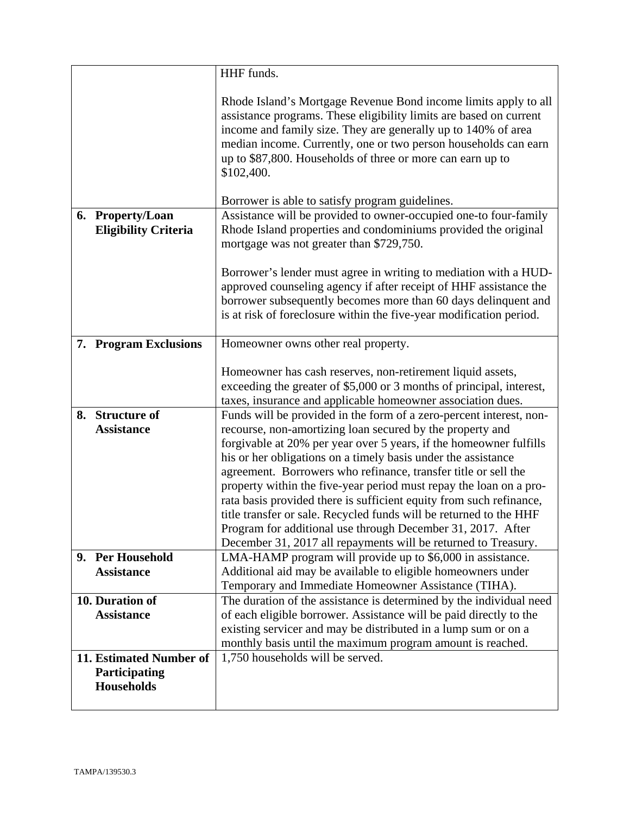|                                                               | HHF funds.                                                                                                                                                                                                                                                                                                                                                                                                      |
|---------------------------------------------------------------|-----------------------------------------------------------------------------------------------------------------------------------------------------------------------------------------------------------------------------------------------------------------------------------------------------------------------------------------------------------------------------------------------------------------|
|                                                               | Rhode Island's Mortgage Revenue Bond income limits apply to all<br>assistance programs. These eligibility limits are based on current<br>income and family size. They are generally up to 140% of area<br>median income. Currently, one or two person households can earn<br>up to \$87,800. Households of three or more can earn up to<br>\$102,400.                                                           |
|                                                               | Borrower is able to satisfy program guidelines.<br>Assistance will be provided to owner-occupied one-to four-family                                                                                                                                                                                                                                                                                             |
| 6. Property/Loan<br><b>Eligibility Criteria</b>               | Rhode Island properties and condominiums provided the original<br>mortgage was not greater than \$729,750.                                                                                                                                                                                                                                                                                                      |
|                                                               | Borrower's lender must agree in writing to mediation with a HUD-<br>approved counseling agency if after receipt of HHF assistance the<br>borrower subsequently becomes more than 60 days delinquent and<br>is at risk of foreclosure within the five-year modification period.                                                                                                                                  |
| 7. Program Exclusions                                         | Homeowner owns other real property.                                                                                                                                                                                                                                                                                                                                                                             |
|                                                               | Homeowner has cash reserves, non-retirement liquid assets,<br>exceeding the greater of \$5,000 or 3 months of principal, interest,<br>taxes, insurance and applicable homeowner association dues.                                                                                                                                                                                                               |
| <b>Structure of</b><br>8.                                     | Funds will be provided in the form of a zero-percent interest, non-                                                                                                                                                                                                                                                                                                                                             |
| <b>Assistance</b>                                             | recourse, non-amortizing loan secured by the property and<br>forgivable at 20% per year over 5 years, if the homeowner fulfills<br>his or her obligations on a timely basis under the assistance<br>agreement. Borrowers who refinance, transfer title or sell the<br>property within the five-year period must repay the loan on a pro-<br>rata basis provided there is sufficient equity from such refinance, |
|                                                               | title transfer or sale. Recycled funds will be returned to the HHF<br>Program for additional use through December 31, 2017. After<br>December 31, 2017 all repayments will be returned to Treasury.                                                                                                                                                                                                             |
| 9. Per Household                                              | LMA-HAMP program will provide up to \$6,000 in assistance.                                                                                                                                                                                                                                                                                                                                                      |
| <b>Assistance</b>                                             | Additional aid may be available to eligible homeowners under<br>Temporary and Immediate Homeowner Assistance (TIHA).                                                                                                                                                                                                                                                                                            |
| 10. Duration of                                               | The duration of the assistance is determined by the individual need                                                                                                                                                                                                                                                                                                                                             |
| <b>Assistance</b>                                             | of each eligible borrower. Assistance will be paid directly to the                                                                                                                                                                                                                                                                                                                                              |
|                                                               | existing servicer and may be distributed in a lump sum or on a                                                                                                                                                                                                                                                                                                                                                  |
|                                                               | monthly basis until the maximum program amount is reached.                                                                                                                                                                                                                                                                                                                                                      |
| 11. Estimated Number of<br>Participating<br><b>Households</b> | 1,750 households will be served.                                                                                                                                                                                                                                                                                                                                                                                |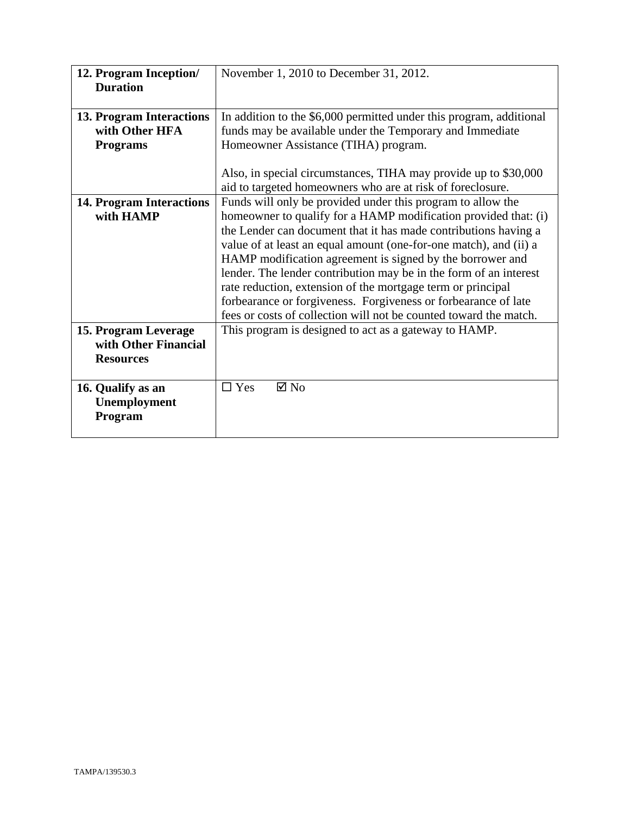| 12. Program Inception/          | November 1, 2010 to December 31, 2012.                              |
|---------------------------------|---------------------------------------------------------------------|
| <b>Duration</b>                 |                                                                     |
|                                 |                                                                     |
| 13. Program Interactions        | In addition to the \$6,000 permitted under this program, additional |
| with Other HFA                  | funds may be available under the Temporary and Immediate            |
| <b>Programs</b>                 | Homeowner Assistance (TIHA) program.                                |
|                                 |                                                                     |
|                                 | Also, in special circumstances, TIHA may provide up to \$30,000     |
|                                 | aid to targeted homeowners who are at risk of foreclosure.          |
| <b>14. Program Interactions</b> | Funds will only be provided under this program to allow the         |
| with HAMP                       | homeowner to qualify for a HAMP modification provided that: (i)     |
|                                 | the Lender can document that it has made contributions having a     |
|                                 | value of at least an equal amount (one-for-one match), and (ii) a   |
|                                 | HAMP modification agreement is signed by the borrower and           |
|                                 | lender. The lender contribution may be in the form of an interest   |
|                                 | rate reduction, extension of the mortgage term or principal         |
|                                 | forbearance or forgiveness. Forgiveness or forbearance of late      |
|                                 | fees or costs of collection will not be counted toward the match.   |
| 15. Program Leverage            | This program is designed to act as a gateway to HAMP.               |
| with Other Financial            |                                                                     |
| <b>Resources</b>                |                                                                     |
|                                 |                                                                     |
| 16. Qualify as an               | $\boxtimes$ No<br>$\Box$ Yes                                        |
| Unemployment                    |                                                                     |
| Program                         |                                                                     |
|                                 |                                                                     |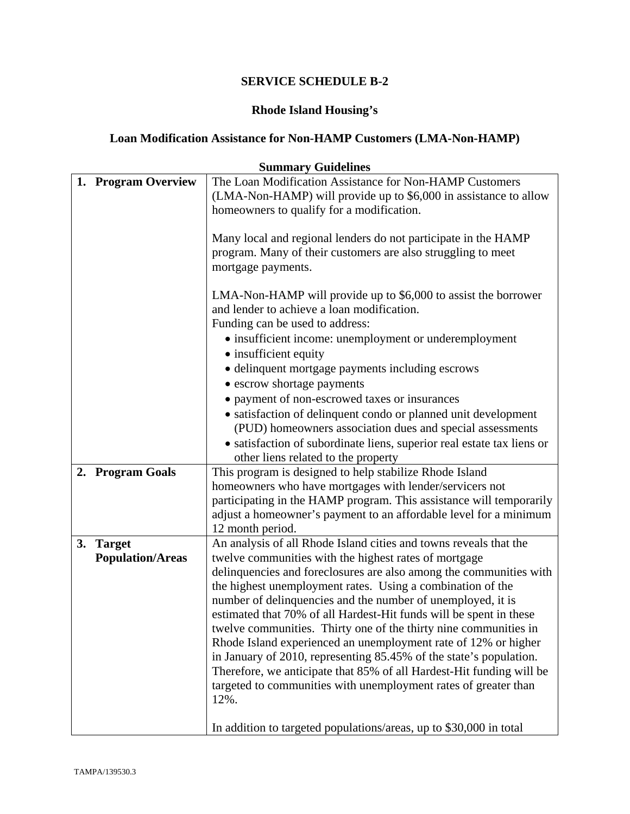# **Rhode Island Housing's**

# **Loan Modification Assistance for Non-HAMP Customers (LMA-Non-HAMP)**

|    | <b>Summary Guidelines</b> |                                                                                                                                            |  |
|----|---------------------------|--------------------------------------------------------------------------------------------------------------------------------------------|--|
|    | 1. Program Overview       | The Loan Modification Assistance for Non-HAMP Customers                                                                                    |  |
|    |                           | (LMA-Non-HAMP) will provide up to \$6,000 in assistance to allow                                                                           |  |
|    |                           | homeowners to qualify for a modification.                                                                                                  |  |
|    |                           |                                                                                                                                            |  |
|    |                           | Many local and regional lenders do not participate in the HAMP                                                                             |  |
|    |                           | program. Many of their customers are also struggling to meet                                                                               |  |
|    |                           | mortgage payments.                                                                                                                         |  |
|    |                           | LMA-Non-HAMP will provide up to \$6,000 to assist the borrower                                                                             |  |
|    |                           | and lender to achieve a loan modification.                                                                                                 |  |
|    |                           | Funding can be used to address:                                                                                                            |  |
|    |                           | • insufficient income: unemployment or underemployment                                                                                     |  |
|    |                           | • insufficient equity                                                                                                                      |  |
|    |                           | · delinquent mortgage payments including escrows                                                                                           |  |
|    |                           | • escrow shortage payments                                                                                                                 |  |
|    |                           | • payment of non-escrowed taxes or insurances                                                                                              |  |
|    |                           | • satisfaction of delinquent condo or planned unit development                                                                             |  |
|    |                           | (PUD) homeowners association dues and special assessments                                                                                  |  |
|    |                           | • satisfaction of subordinate liens, superior real estate tax liens or                                                                     |  |
|    |                           | other liens related to the property                                                                                                        |  |
|    | 2. Program Goals          | This program is designed to help stabilize Rhode Island                                                                                    |  |
|    |                           | homeowners who have mortgages with lender/servicers not                                                                                    |  |
|    |                           | participating in the HAMP program. This assistance will temporarily                                                                        |  |
|    |                           | adjust a homeowner's payment to an affordable level for a minimum                                                                          |  |
|    |                           | 12 month period.                                                                                                                           |  |
| 3. | <b>Target</b>             | An analysis of all Rhode Island cities and towns reveals that the                                                                          |  |
|    | <b>Population/Areas</b>   | twelve communities with the highest rates of mortgage                                                                                      |  |
|    |                           | delinquencies and foreclosures are also among the communities with                                                                         |  |
|    |                           | the highest unemployment rates. Using a combination of the                                                                                 |  |
|    |                           | number of delinquencies and the number of unemployed, it is                                                                                |  |
|    |                           | estimated that 70% of all Hardest-Hit funds will be spent in these                                                                         |  |
|    |                           | twelve communities. Thirty one of the thirty nine communities in                                                                           |  |
|    |                           | Rhode Island experienced an unemployment rate of 12% or higher                                                                             |  |
|    |                           | in January of 2010, representing 85.45% of the state's population.<br>Therefore, we anticipate that 85% of all Hardest-Hit funding will be |  |
|    |                           | targeted to communities with unemployment rates of greater than                                                                            |  |
|    |                           | 12%.                                                                                                                                       |  |
|    |                           |                                                                                                                                            |  |
|    |                           | In addition to targeted populations/areas, up to \$30,000 in total                                                                         |  |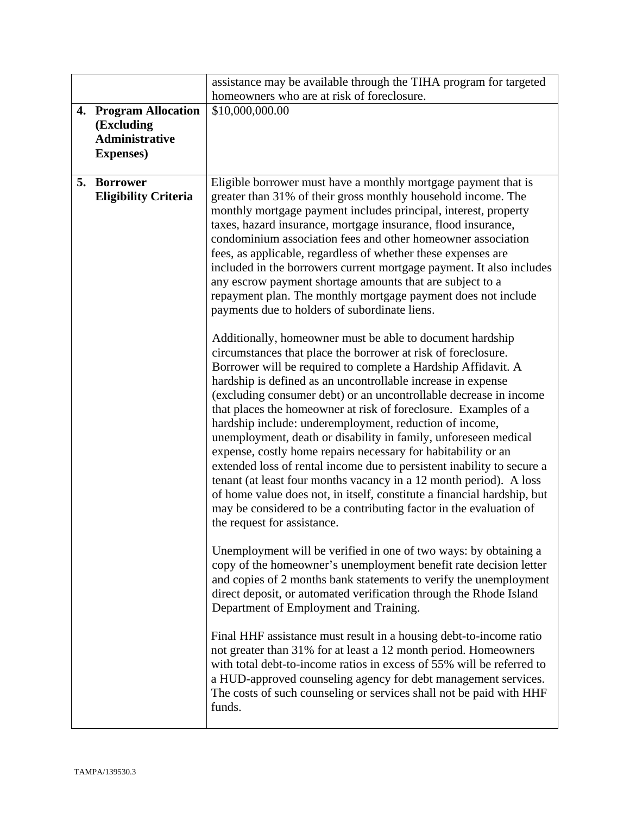|                                                                                   | assistance may be available through the TIHA program for targeted                                                                                                                                                                                                                                                                                                                                                                                                                                                                                                                                                                                                                                                                                                                                                                                                                                                                  |
|-----------------------------------------------------------------------------------|------------------------------------------------------------------------------------------------------------------------------------------------------------------------------------------------------------------------------------------------------------------------------------------------------------------------------------------------------------------------------------------------------------------------------------------------------------------------------------------------------------------------------------------------------------------------------------------------------------------------------------------------------------------------------------------------------------------------------------------------------------------------------------------------------------------------------------------------------------------------------------------------------------------------------------|
|                                                                                   | homeowners who are at risk of foreclosure.                                                                                                                                                                                                                                                                                                                                                                                                                                                                                                                                                                                                                                                                                                                                                                                                                                                                                         |
| 4. Program Allocation<br>(Excluding<br><b>Administrative</b><br><b>Expenses</b> ) | \$10,000,000.00                                                                                                                                                                                                                                                                                                                                                                                                                                                                                                                                                                                                                                                                                                                                                                                                                                                                                                                    |
| 5. Borrower<br><b>Eligibility Criteria</b>                                        | Eligible borrower must have a monthly mortgage payment that is<br>greater than 31% of their gross monthly household income. The<br>monthly mortgage payment includes principal, interest, property<br>taxes, hazard insurance, mortgage insurance, flood insurance,<br>condominium association fees and other homeowner association<br>fees, as applicable, regardless of whether these expenses are<br>included in the borrowers current mortgage payment. It also includes<br>any escrow payment shortage amounts that are subject to a<br>repayment plan. The monthly mortgage payment does not include<br>payments due to holders of subordinate liens.                                                                                                                                                                                                                                                                        |
|                                                                                   | Additionally, homeowner must be able to document hardship<br>circumstances that place the borrower at risk of foreclosure.<br>Borrower will be required to complete a Hardship Affidavit. A<br>hardship is defined as an uncontrollable increase in expense<br>(excluding consumer debt) or an uncontrollable decrease in income<br>that places the homeowner at risk of foreclosure. Examples of a<br>hardship include: underemployment, reduction of income,<br>unemployment, death or disability in family, unforeseen medical<br>expense, costly home repairs necessary for habitability or an<br>extended loss of rental income due to persistent inability to secure a<br>tenant (at least four months vacancy in a 12 month period). A loss<br>of home value does not, in itself, constitute a financial hardship, but<br>may be considered to be a contributing factor in the evaluation of<br>the request for assistance. |
|                                                                                   | Unemployment will be verified in one of two ways: by obtaining a<br>copy of the homeowner's unemployment benefit rate decision letter<br>and copies of 2 months bank statements to verify the unemployment<br>direct deposit, or automated verification through the Rhode Island<br>Department of Employment and Training.                                                                                                                                                                                                                                                                                                                                                                                                                                                                                                                                                                                                         |
|                                                                                   | Final HHF assistance must result in a housing debt-to-income ratio<br>not greater than 31% for at least a 12 month period. Homeowners<br>with total debt-to-income ratios in excess of 55% will be referred to<br>a HUD-approved counseling agency for debt management services.<br>The costs of such counseling or services shall not be paid with HHF<br>funds.                                                                                                                                                                                                                                                                                                                                                                                                                                                                                                                                                                  |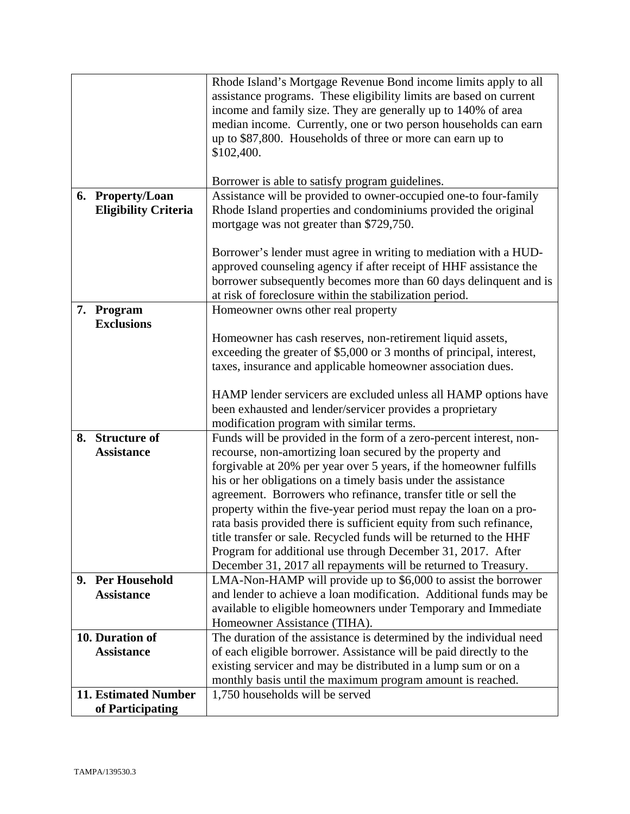|                             | Rhode Island's Mortgage Revenue Bond income limits apply to all      |
|-----------------------------|----------------------------------------------------------------------|
|                             | assistance programs. These eligibility limits are based on current   |
|                             | income and family size. They are generally up to 140% of area        |
|                             | median income. Currently, one or two person households can earn      |
|                             | up to \$87,800. Households of three or more can earn up to           |
|                             | \$102,400.                                                           |
|                             |                                                                      |
|                             | Borrower is able to satisfy program guidelines.                      |
| 6. Property/Loan            | Assistance will be provided to owner-occupied one-to four-family     |
| <b>Eligibility Criteria</b> | Rhode Island properties and condominiums provided the original       |
|                             | mortgage was not greater than \$729,750.                             |
|                             |                                                                      |
|                             | Borrower's lender must agree in writing to mediation with a HUD-     |
|                             | approved counseling agency if after receipt of HHF assistance the    |
|                             | borrower subsequently becomes more than 60 days delinquent and is    |
|                             | at risk of foreclosure within the stabilization period.              |
| 7. Program                  | Homeowner owns other real property                                   |
| <b>Exclusions</b>           |                                                                      |
|                             | Homeowner has cash reserves, non-retirement liquid assets,           |
|                             | exceeding the greater of \$5,000 or 3 months of principal, interest, |
|                             | taxes, insurance and applicable homeowner association dues.          |
|                             |                                                                      |
|                             | HAMP lender servicers are excluded unless all HAMP options have      |
|                             | been exhausted and lender/servicer provides a proprietary            |
|                             | modification program with similar terms.                             |
| 8. Structure of             | Funds will be provided in the form of a zero-percent interest, non-  |
| <b>Assistance</b>           | recourse, non-amortizing loan secured by the property and            |
|                             | forgivable at 20% per year over 5 years, if the homeowner fulfills   |
|                             | his or her obligations on a timely basis under the assistance        |
|                             | agreement. Borrowers who refinance, transfer title or sell the       |
|                             | property within the five-year period must repay the loan on a pro-   |
|                             | rata basis provided there is sufficient equity from such refinance,  |
|                             | title transfer or sale. Recycled funds will be returned to the HHF   |
|                             | Program for additional use through December 31, 2017. After          |
|                             | December 31, 2017 all repayments will be returned to Treasury.       |
| 9. Per Household            | LMA-Non-HAMP will provide up to \$6,000 to assist the borrower       |
| <b>Assistance</b>           | and lender to achieve a loan modification. Additional funds may be   |
|                             | available to eligible homeowners under Temporary and Immediate       |
|                             | Homeowner Assistance (TIHA).                                         |
| 10. Duration of             | The duration of the assistance is determined by the individual need  |
| <b>Assistance</b>           | of each eligible borrower. Assistance will be paid directly to the   |
|                             | existing servicer and may be distributed in a lump sum or on a       |
|                             | monthly basis until the maximum program amount is reached.           |
| <b>11. Estimated Number</b> | 1,750 households will be served                                      |
| of Participating            |                                                                      |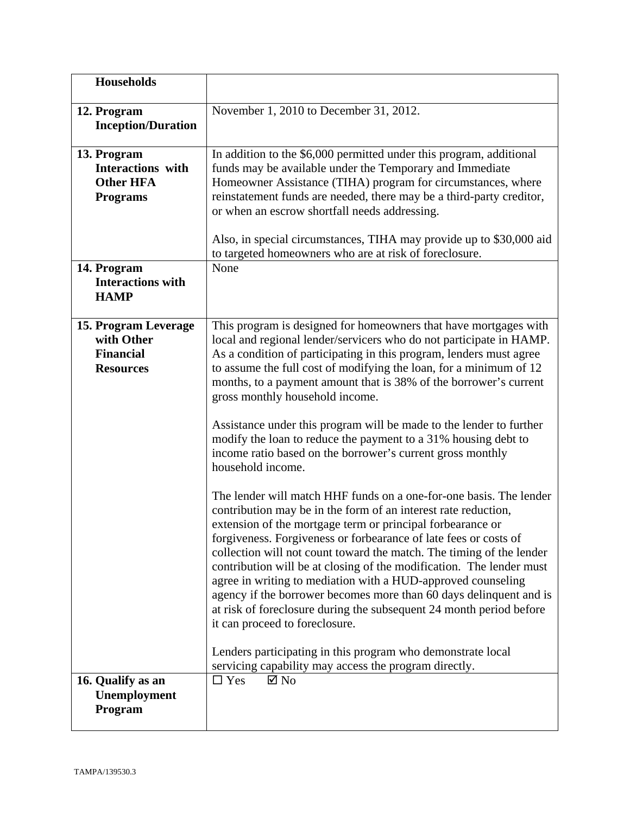| Households                                                                                    |                                                                                                                                                                                                                                                                                                                                                                                                                                                                                                                                                                                                                                                                                                                                                                                                                                                                                                                                                                                                                                                                                                                                                                                                                                                                                                                                                                  |
|-----------------------------------------------------------------------------------------------|------------------------------------------------------------------------------------------------------------------------------------------------------------------------------------------------------------------------------------------------------------------------------------------------------------------------------------------------------------------------------------------------------------------------------------------------------------------------------------------------------------------------------------------------------------------------------------------------------------------------------------------------------------------------------------------------------------------------------------------------------------------------------------------------------------------------------------------------------------------------------------------------------------------------------------------------------------------------------------------------------------------------------------------------------------------------------------------------------------------------------------------------------------------------------------------------------------------------------------------------------------------------------------------------------------------------------------------------------------------|
| 12. Program<br><b>Inception/Duration</b>                                                      | November 1, 2010 to December 31, 2012.                                                                                                                                                                                                                                                                                                                                                                                                                                                                                                                                                                                                                                                                                                                                                                                                                                                                                                                                                                                                                                                                                                                                                                                                                                                                                                                           |
| 13. Program<br><b>Interactions</b> with<br><b>Other HFA</b><br><b>Programs</b><br>14. Program | In addition to the \$6,000 permitted under this program, additional<br>funds may be available under the Temporary and Immediate<br>Homeowner Assistance (TIHA) program for circumstances, where<br>reinstatement funds are needed, there may be a third-party creditor,<br>or when an escrow shortfall needs addressing.<br>Also, in special circumstances, TIHA may provide up to \$30,000 aid<br>to targeted homeowners who are at risk of foreclosure.<br>None                                                                                                                                                                                                                                                                                                                                                                                                                                                                                                                                                                                                                                                                                                                                                                                                                                                                                                |
| <b>Interactions with</b><br><b>HAMP</b>                                                       |                                                                                                                                                                                                                                                                                                                                                                                                                                                                                                                                                                                                                                                                                                                                                                                                                                                                                                                                                                                                                                                                                                                                                                                                                                                                                                                                                                  |
| 15. Program Leverage<br>with Other<br><b>Financial</b><br><b>Resources</b>                    | This program is designed for homeowners that have mortgages with<br>local and regional lender/servicers who do not participate in HAMP.<br>As a condition of participating in this program, lenders must agree<br>to assume the full cost of modifying the loan, for a minimum of 12<br>months, to a payment amount that is 38% of the borrower's current<br>gross monthly household income.<br>Assistance under this program will be made to the lender to further<br>modify the loan to reduce the payment to a 31% housing debt to<br>income ratio based on the borrower's current gross monthly<br>household income.<br>The lender will match HHF funds on a one-for-one basis. The lender<br>contribution may be in the form of an interest rate reduction,<br>extension of the mortgage term or principal forbearance or<br>forgiveness. Forgiveness or forbearance of late fees or costs of<br>collection will not count toward the match. The timing of the lender<br>contribution will be at closing of the modification. The lender must<br>agree in writing to mediation with a HUD-approved counseling<br>agency if the borrower becomes more than 60 days delinquent and is<br>at risk of foreclosure during the subsequent 24 month period before<br>it can proceed to foreclosure.<br>Lenders participating in this program who demonstrate local |
|                                                                                               | servicing capability may access the program directly.                                                                                                                                                                                                                                                                                                                                                                                                                                                                                                                                                                                                                                                                                                                                                                                                                                                                                                                                                                                                                                                                                                                                                                                                                                                                                                            |
| 16. Qualify as an<br>Unemployment<br>Program                                                  | $\square$ Yes<br>$\boxtimes$ No                                                                                                                                                                                                                                                                                                                                                                                                                                                                                                                                                                                                                                                                                                                                                                                                                                                                                                                                                                                                                                                                                                                                                                                                                                                                                                                                  |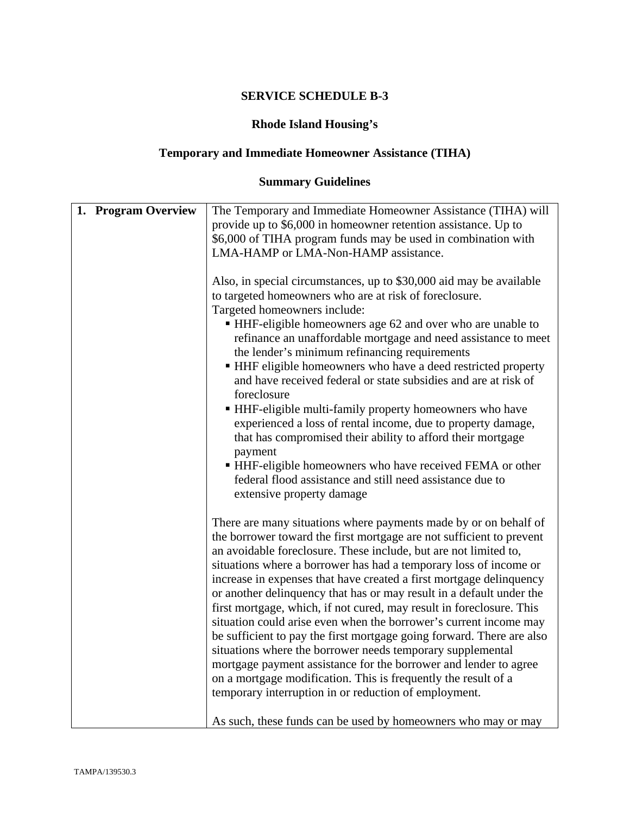## **Rhode Island Housing's**

# **Temporary and Immediate Homeowner Assistance (TIHA)**

# **Summary Guidelines**

| 1. Program Overview<br>The Temporary and Immediate Homeowner Assistance (TIHA) will |  |
|-------------------------------------------------------------------------------------|--|
| provide up to \$6,000 in homeowner retention assistance. Up to                      |  |
| \$6,000 of TIHA program funds may be used in combination with                       |  |
| LMA-HAMP or LMA-Non-HAMP assistance.                                                |  |
|                                                                                     |  |
| Also, in special circumstances, up to \$30,000 aid may be available                 |  |
| to targeted homeowners who are at risk of foreclosure.                              |  |
| Targeted homeowners include:                                                        |  |
| • HHF-eligible homeowners age 62 and over who are unable to                         |  |
| refinance an unaffordable mortgage and need assistance to meet                      |  |
|                                                                                     |  |
| the lender's minimum refinancing requirements                                       |  |
| • HHF eligible homeowners who have a deed restricted property                       |  |
| and have received federal or state subsidies and are at risk of                     |  |
| foreclosure                                                                         |  |
| HHF-eligible multi-family property homeowners who have                              |  |
| experienced a loss of rental income, due to property damage,                        |  |
| that has compromised their ability to afford their mortgage                         |  |
| payment                                                                             |  |
| • HHF-eligible homeowners who have received FEMA or other                           |  |
| federal flood assistance and still need assistance due to                           |  |
| extensive property damage                                                           |  |
|                                                                                     |  |
| There are many situations where payments made by or on behalf of                    |  |
| the borrower toward the first mortgage are not sufficient to prevent                |  |
|                                                                                     |  |
| an avoidable foreclosure. These include, but are not limited to,                    |  |
| situations where a borrower has had a temporary loss of income or                   |  |
| increase in expenses that have created a first mortgage delinquency                 |  |
| or another delinquency that has or may result in a default under the                |  |
| first mortgage, which, if not cured, may result in foreclosure. This                |  |
| situation could arise even when the borrower's current income may                   |  |
| be sufficient to pay the first mortgage going forward. There are also               |  |
| situations where the borrower needs temporary supplemental                          |  |
| mortgage payment assistance for the borrower and lender to agree                    |  |
| on a mortgage modification. This is frequently the result of a                      |  |
|                                                                                     |  |
|                                                                                     |  |
| temporary interruption in or reduction of employment.                               |  |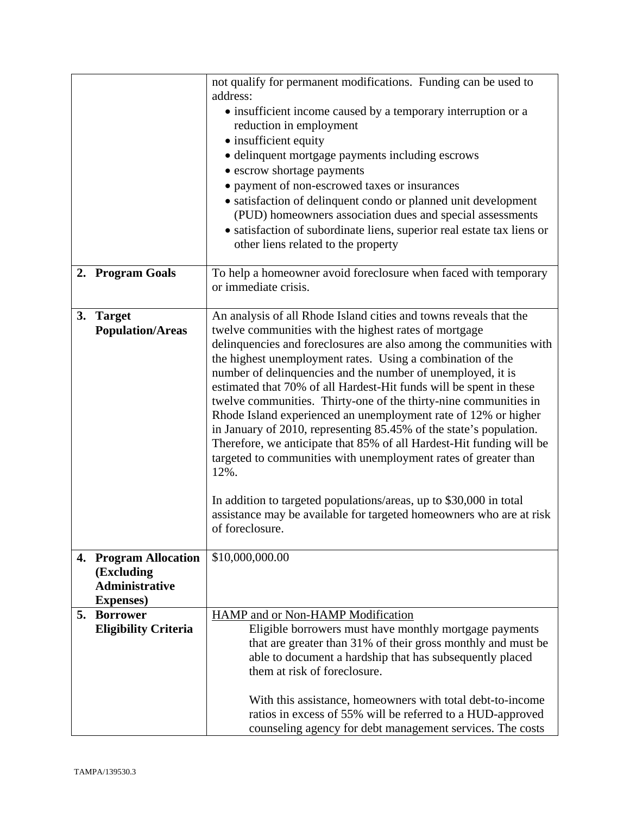|    |                                            | not qualify for permanent modifications. Funding can be used to<br>address:                                                       |
|----|--------------------------------------------|-----------------------------------------------------------------------------------------------------------------------------------|
|    |                                            | • insufficient income caused by a temporary interruption or a                                                                     |
|    |                                            | reduction in employment                                                                                                           |
|    |                                            | • insufficient equity                                                                                                             |
|    |                                            | · delinquent mortgage payments including escrows                                                                                  |
|    |                                            | • escrow shortage payments<br>• payment of non-escrowed taxes or insurances                                                       |
|    |                                            | • satisfaction of delinquent condo or planned unit development                                                                    |
|    |                                            | (PUD) homeowners association dues and special assessments                                                                         |
|    |                                            | • satisfaction of subordinate liens, superior real estate tax liens or                                                            |
|    |                                            | other liens related to the property                                                                                               |
|    | 2. Program Goals                           | To help a homeowner avoid foreclosure when faced with temporary<br>or immediate crisis.                                           |
| 3. | <b>Target</b>                              | An analysis of all Rhode Island cities and towns reveals that the                                                                 |
|    | <b>Population/Areas</b>                    | twelve communities with the highest rates of mortgage                                                                             |
|    |                                            | delinquencies and foreclosures are also among the communities with                                                                |
|    |                                            | the highest unemployment rates. Using a combination of the                                                                        |
|    |                                            | number of delinquencies and the number of unemployed, it is<br>estimated that 70% of all Hardest-Hit funds will be spent in these |
|    |                                            | twelve communities. Thirty-one of the thirty-nine communities in                                                                  |
|    |                                            | Rhode Island experienced an unemployment rate of 12% or higher                                                                    |
|    |                                            | in January of 2010, representing 85.45% of the state's population.                                                                |
|    |                                            | Therefore, we anticipate that 85% of all Hardest-Hit funding will be                                                              |
|    |                                            | targeted to communities with unemployment rates of greater than<br>12%.                                                           |
|    |                                            |                                                                                                                                   |
|    |                                            | In addition to targeted populations/areas, up to \$30,000 in total                                                                |
|    |                                            | assistance may be available for targeted homeowners who are at risk                                                               |
|    |                                            | of foreclosure.                                                                                                                   |
|    | 4. Program Allocation                      | \$10,000,000.00                                                                                                                   |
|    | (Excluding                                 |                                                                                                                                   |
|    | <b>Administrative</b><br><b>Expenses</b> ) |                                                                                                                                   |
| 5. | <b>Borrower</b>                            | HAMP and or Non-HAMP Modification                                                                                                 |
|    | <b>Eligibility Criteria</b>                | Eligible borrowers must have monthly mortgage payments                                                                            |
|    |                                            | that are greater than 31% of their gross monthly and must be                                                                      |
|    |                                            | able to document a hardship that has subsequently placed                                                                          |
|    |                                            | them at risk of foreclosure.                                                                                                      |
|    |                                            | With this assistance, homeowners with total debt-to-income                                                                        |
|    |                                            | ratios in excess of 55% will be referred to a HUD-approved                                                                        |
|    |                                            | counseling agency for debt management services. The costs                                                                         |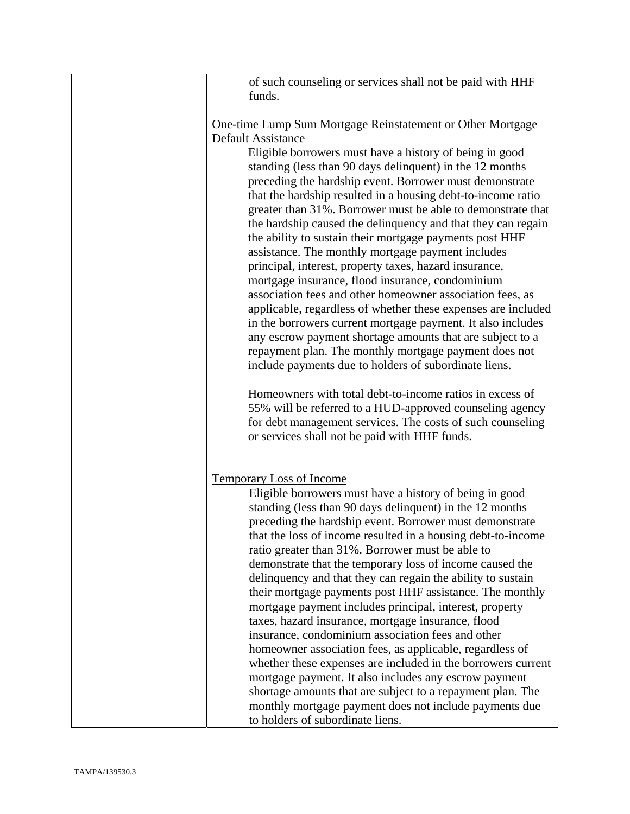| of such counseling or services shall not be paid with HHF                                                             |
|-----------------------------------------------------------------------------------------------------------------------|
| funds.                                                                                                                |
|                                                                                                                       |
| One-time Lump Sum Mortgage Reinstatement or Other Mortgage                                                            |
| Default Assistance                                                                                                    |
| Eligible borrowers must have a history of being in good                                                               |
| standing (less than 90 days delinquent) in the 12 months<br>preceding the hardship event. Borrower must demonstrate   |
| that the hardship resulted in a housing debt-to-income ratio                                                          |
| greater than 31%. Borrower must be able to demonstrate that                                                           |
| the hardship caused the delinquency and that they can regain                                                          |
| the ability to sustain their mortgage payments post HHF                                                               |
| assistance. The monthly mortgage payment includes                                                                     |
| principal, interest, property taxes, hazard insurance,                                                                |
| mortgage insurance, flood insurance, condominium                                                                      |
| association fees and other homeowner association fees, as                                                             |
| applicable, regardless of whether these expenses are included                                                         |
| in the borrowers current mortgage payment. It also includes                                                           |
| any escrow payment shortage amounts that are subject to a                                                             |
| repayment plan. The monthly mortgage payment does not<br>include payments due to holders of subordinate liens.        |
|                                                                                                                       |
| Homeowners with total debt-to-income ratios in excess of                                                              |
| 55% will be referred to a HUD-approved counseling agency                                                              |
| for debt management services. The costs of such counseling                                                            |
| or services shall not be paid with HHF funds.                                                                         |
|                                                                                                                       |
|                                                                                                                       |
| <b>Temporary Loss of Income</b><br>Eligible borrowers must have a history of being in good                            |
| standing (less than 90 days delinquent) in the 12 months                                                              |
| preceding the hardship event. Borrower must demonstrate                                                               |
| that the loss of income resulted in a housing debt-to-income                                                          |
| ratio greater than 31%. Borrower must be able to                                                                      |
| demonstrate that the temporary loss of income caused the                                                              |
| delinquency and that they can regain the ability to sustain                                                           |
| their mortgage payments post HHF assistance. The monthly                                                              |
| mortgage payment includes principal, interest, property                                                               |
| taxes, hazard insurance, mortgage insurance, flood                                                                    |
| insurance, condominium association fees and other                                                                     |
| homeowner association fees, as applicable, regardless of                                                              |
| whether these expenses are included in the borrowers current<br>mortgage payment. It also includes any escrow payment |
| shortage amounts that are subject to a repayment plan. The                                                            |
| monthly mortgage payment does not include payments due                                                                |
| to holders of subordinate liens.                                                                                      |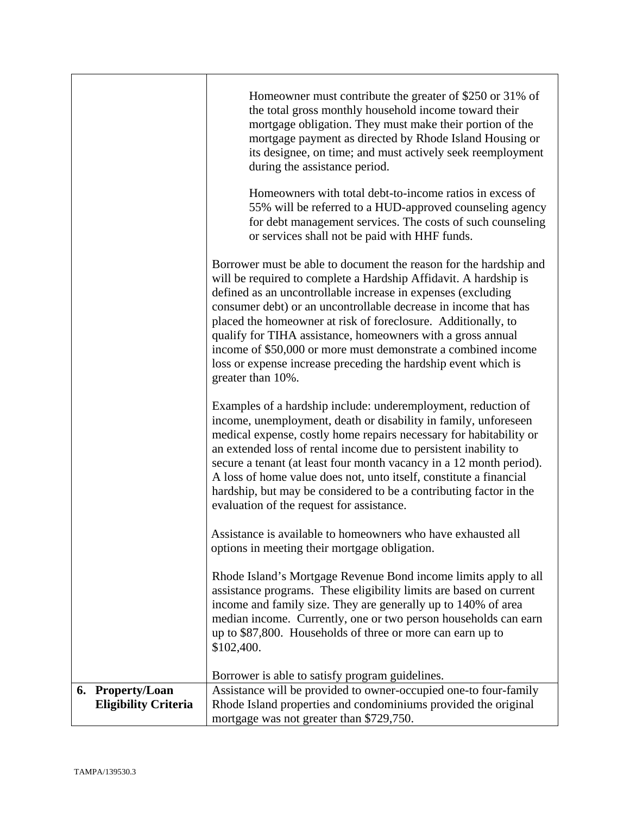|                                                 | Homeowner must contribute the greater of \$250 or 31% of<br>the total gross monthly household income toward their<br>mortgage obligation. They must make their portion of the<br>mortgage payment as directed by Rhode Island Housing or<br>its designee, on time; and must actively seek reemployment<br>during the assistance period.<br>Homeowners with total debt-to-income ratios in excess of<br>55% will be referred to a HUD-approved counseling agency<br>for debt management services. The costs of such counseling<br>or services shall not be paid with HHF funds. |
|-------------------------------------------------|--------------------------------------------------------------------------------------------------------------------------------------------------------------------------------------------------------------------------------------------------------------------------------------------------------------------------------------------------------------------------------------------------------------------------------------------------------------------------------------------------------------------------------------------------------------------------------|
|                                                 | Borrower must be able to document the reason for the hardship and<br>will be required to complete a Hardship Affidavit. A hardship is<br>defined as an uncontrollable increase in expenses (excluding<br>consumer debt) or an uncontrollable decrease in income that has<br>placed the homeowner at risk of foreclosure. Additionally, to<br>qualify for TIHA assistance, homeowners with a gross annual<br>income of \$50,000 or more must demonstrate a combined income<br>loss or expense increase preceding the hardship event which is<br>greater than 10%.               |
|                                                 | Examples of a hardship include: underemployment, reduction of<br>income, unemployment, death or disability in family, unforeseen<br>medical expense, costly home repairs necessary for habitability or<br>an extended loss of rental income due to persistent inability to<br>secure a tenant (at least four month vacancy in a 12 month period).<br>A loss of home value does not, unto itself, constitute a financial<br>hardship, but may be considered to be a contributing factor in the<br>evaluation of the request for assistance.                                     |
|                                                 | Assistance is available to homeowners who have exhausted all<br>options in meeting their mortgage obligation.                                                                                                                                                                                                                                                                                                                                                                                                                                                                  |
|                                                 | Rhode Island's Mortgage Revenue Bond income limits apply to all<br>assistance programs. These eligibility limits are based on current<br>income and family size. They are generally up to 140% of area<br>median income. Currently, one or two person households can earn<br>up to \$87,800. Households of three or more can earn up to<br>\$102,400.                                                                                                                                                                                                                          |
|                                                 | Borrower is able to satisfy program guidelines.                                                                                                                                                                                                                                                                                                                                                                                                                                                                                                                                |
| 6. Property/Loan<br><b>Eligibility Criteria</b> | Assistance will be provided to owner-occupied one-to four-family<br>Rhode Island properties and condominiums provided the original<br>mortgage was not greater than \$729,750.                                                                                                                                                                                                                                                                                                                                                                                                 |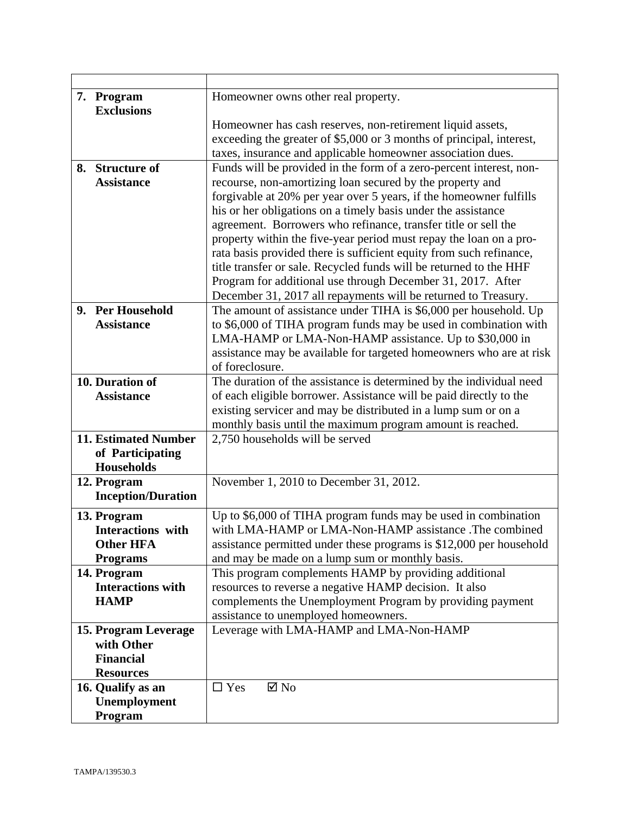| 7. Program                  | Homeowner owns other real property.                                  |
|-----------------------------|----------------------------------------------------------------------|
| <b>Exclusions</b>           |                                                                      |
|                             | Homeowner has cash reserves, non-retirement liquid assets,           |
|                             | exceeding the greater of \$5,000 or 3 months of principal, interest, |
|                             | taxes, insurance and applicable homeowner association dues.          |
| 8. Structure of             | Funds will be provided in the form of a zero-percent interest, non-  |
| <b>Assistance</b>           | recourse, non-amortizing loan secured by the property and            |
|                             | forgivable at 20% per year over 5 years, if the homeowner fulfills   |
|                             | his or her obligations on a timely basis under the assistance        |
|                             | agreement. Borrowers who refinance, transfer title or sell the       |
|                             | property within the five-year period must repay the loan on a pro-   |
|                             | rata basis provided there is sufficient equity from such refinance,  |
|                             | title transfer or sale. Recycled funds will be returned to the HHF   |
|                             | Program for additional use through December 31, 2017. After          |
|                             | December 31, 2017 all repayments will be returned to Treasury.       |
| 9. Per Household            | The amount of assistance under TIHA is \$6,000 per household. Up     |
| <b>Assistance</b>           | to \$6,000 of TIHA program funds may be used in combination with     |
|                             | LMA-HAMP or LMA-Non-HAMP assistance. Up to \$30,000 in               |
|                             | assistance may be available for targeted homeowners who are at risk  |
|                             | of foreclosure.                                                      |
| 10. Duration of             | The duration of the assistance is determined by the individual need  |
| <b>Assistance</b>           | of each eligible borrower. Assistance will be paid directly to the   |
|                             | existing servicer and may be distributed in a lump sum or on a       |
|                             | monthly basis until the maximum program amount is reached.           |
| <b>11. Estimated Number</b> | 2,750 households will be served                                      |
| of Participating            |                                                                      |
| <b>Households</b>           |                                                                      |
| 12. Program                 | November 1, 2010 to December 31, 2012.                               |
| <b>Inception/Duration</b>   |                                                                      |
| 13. Program                 | Up to \$6,000 of TIHA program funds may be used in combination       |
| <b>Interactions</b> with    | with LMA-HAMP or LMA-Non-HAMP assistance .The combined               |
| <b>Other HFA</b>            | assistance permitted under these programs is \$12,000 per household  |
| <b>Programs</b>             | and may be made on a lump sum or monthly basis.                      |
| 14. Program                 | This program complements HAMP by providing additional                |
| <b>Interactions with</b>    | resources to reverse a negative HAMP decision. It also               |
| <b>HAMP</b>                 | complements the Unemployment Program by providing payment            |
|                             | assistance to unemployed homeowners.                                 |
| 15. Program Leverage        | Leverage with LMA-HAMP and LMA-Non-HAMP                              |
| with Other                  |                                                                      |
| <b>Financial</b>            |                                                                      |
| <b>Resources</b>            |                                                                      |
| 16. Qualify as an           | $\square$ Yes<br>$\boxtimes$ No                                      |
| Unemployment                |                                                                      |
| Program                     |                                                                      |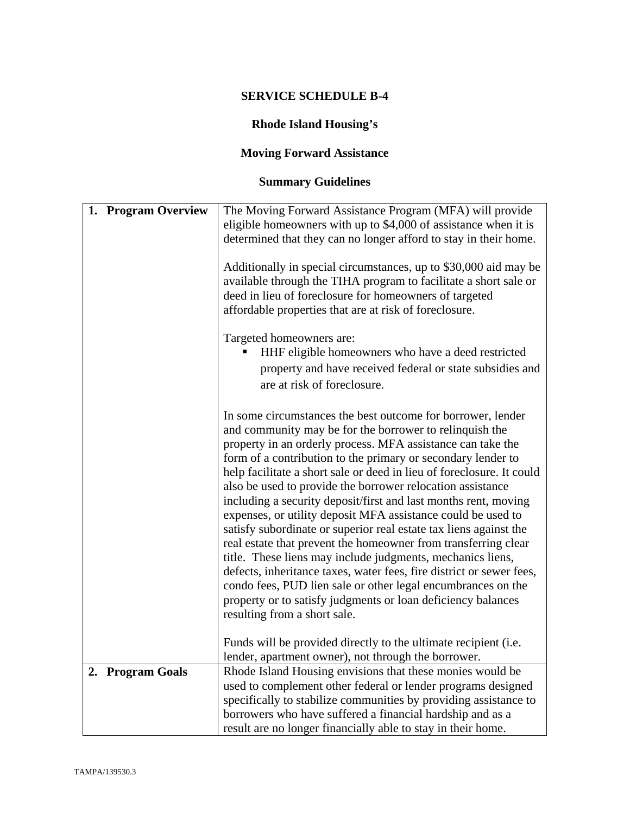# **Rhode Island Housing's**

# **Moving Forward Assistance**

# **Summary Guidelines**

| 1. Program Overview | The Moving Forward Assistance Program (MFA) will provide                                                                            |
|---------------------|-------------------------------------------------------------------------------------------------------------------------------------|
|                     | eligible homeowners with up to \$4,000 of assistance when it is                                                                     |
|                     | determined that they can no longer afford to stay in their home.                                                                    |
|                     |                                                                                                                                     |
|                     | Additionally in special circumstances, up to \$30,000 aid may be                                                                    |
|                     | available through the TIHA program to facilitate a short sale or                                                                    |
|                     | deed in lieu of foreclosure for homeowners of targeted                                                                              |
|                     | affordable properties that are at risk of foreclosure.                                                                              |
|                     |                                                                                                                                     |
|                     | Targeted homeowners are:                                                                                                            |
|                     | HHF eligible homeowners who have a deed restricted                                                                                  |
|                     | property and have received federal or state subsidies and                                                                           |
|                     | are at risk of foreclosure.                                                                                                         |
|                     |                                                                                                                                     |
|                     | In some circumstances the best outcome for borrower, lender                                                                         |
|                     | and community may be for the borrower to relinquish the                                                                             |
|                     | property in an orderly process. MFA assistance can take the                                                                         |
|                     | form of a contribution to the primary or secondary lender to                                                                        |
|                     | help facilitate a short sale or deed in lieu of foreclosure. It could                                                               |
|                     | also be used to provide the borrower relocation assistance                                                                          |
|                     | including a security deposit/first and last months rent, moving                                                                     |
|                     | expenses, or utility deposit MFA assistance could be used to                                                                        |
|                     | satisfy subordinate or superior real estate tax liens against the<br>real estate that prevent the homeowner from transferring clear |
|                     | title. These liens may include judgments, mechanics liens,                                                                          |
|                     | defects, inheritance taxes, water fees, fire district or sewer fees,                                                                |
|                     | condo fees, PUD lien sale or other legal encumbrances on the                                                                        |
|                     | property or to satisfy judgments or loan deficiency balances                                                                        |
|                     | resulting from a short sale.                                                                                                        |
|                     |                                                                                                                                     |
|                     | Funds will be provided directly to the ultimate recipient (i.e.                                                                     |
|                     | lender, apartment owner), not through the borrower.                                                                                 |
| 2. Program Goals    | Rhode Island Housing envisions that these monies would be                                                                           |
|                     | used to complement other federal or lender programs designed                                                                        |
|                     | specifically to stabilize communities by providing assistance to                                                                    |
|                     | borrowers who have suffered a financial hardship and as a                                                                           |
|                     | result are no longer financially able to stay in their home.                                                                        |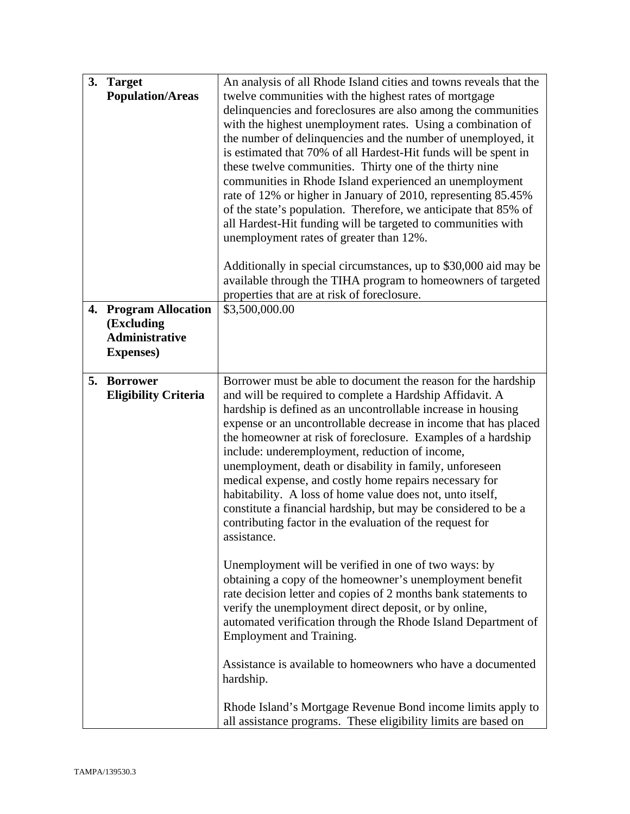| 3. | <b>Target</b><br><b>Population/Areas</b>                                              | An analysis of all Rhode Island cities and towns reveals that the<br>twelve communities with the highest rates of mortgage<br>delinquencies and foreclosures are also among the communities<br>with the highest unemployment rates. Using a combination of<br>the number of delinquencies and the number of unemployed, it<br>is estimated that 70% of all Hardest-Hit funds will be spent in<br>these twelve communities. Thirty one of the thirty nine<br>communities in Rhode Island experienced an unemployment<br>rate of 12% or higher in January of 2010, representing 85.45%<br>of the state's population. Therefore, we anticipate that 85% of<br>all Hardest-Hit funding will be targeted to communities with<br>unemployment rates of greater than 12%.<br>Additionally in special circumstances, up to \$30,000 aid may be<br>available through the TIHA program to homeowners of targeted<br>properties that are at risk of foreclosure.                                                                                                                                                                                                                                                       |
|----|---------------------------------------------------------------------------------------|-------------------------------------------------------------------------------------------------------------------------------------------------------------------------------------------------------------------------------------------------------------------------------------------------------------------------------------------------------------------------------------------------------------------------------------------------------------------------------------------------------------------------------------------------------------------------------------------------------------------------------------------------------------------------------------------------------------------------------------------------------------------------------------------------------------------------------------------------------------------------------------------------------------------------------------------------------------------------------------------------------------------------------------------------------------------------------------------------------------------------------------------------------------------------------------------------------------|
| 4. | <b>Program Allocation</b><br>(Excluding<br><b>Administrative</b><br><b>Expenses</b> ) | \$3,500,000.00                                                                                                                                                                                                                                                                                                                                                                                                                                                                                                                                                                                                                                                                                                                                                                                                                                                                                                                                                                                                                                                                                                                                                                                              |
| 5. | <b>Borrower</b><br><b>Eligibility Criteria</b>                                        | Borrower must be able to document the reason for the hardship<br>and will be required to complete a Hardship Affidavit. A<br>hardship is defined as an uncontrollable increase in housing<br>expense or an uncontrollable decrease in income that has placed<br>the homeowner at risk of foreclosure. Examples of a hardship<br>include: underemployment, reduction of income,<br>unemployment, death or disability in family, unforeseen<br>medical expense, and costly home repairs necessary for<br>habitability. A loss of home value does not, unto itself,<br>constitute a financial hardship, but may be considered to be a<br>contributing factor in the evaluation of the request for<br>assistance.<br>Unemployment will be verified in one of two ways: by<br>obtaining a copy of the homeowner's unemployment benefit<br>rate decision letter and copies of 2 months bank statements to<br>verify the unemployment direct deposit, or by online,<br>automated verification through the Rhode Island Department of<br><b>Employment and Training.</b><br>Assistance is available to homeowners who have a documented<br>hardship.<br>Rhode Island's Mortgage Revenue Bond income limits apply to |
|    |                                                                                       | all assistance programs. These eligibility limits are based on                                                                                                                                                                                                                                                                                                                                                                                                                                                                                                                                                                                                                                                                                                                                                                                                                                                                                                                                                                                                                                                                                                                                              |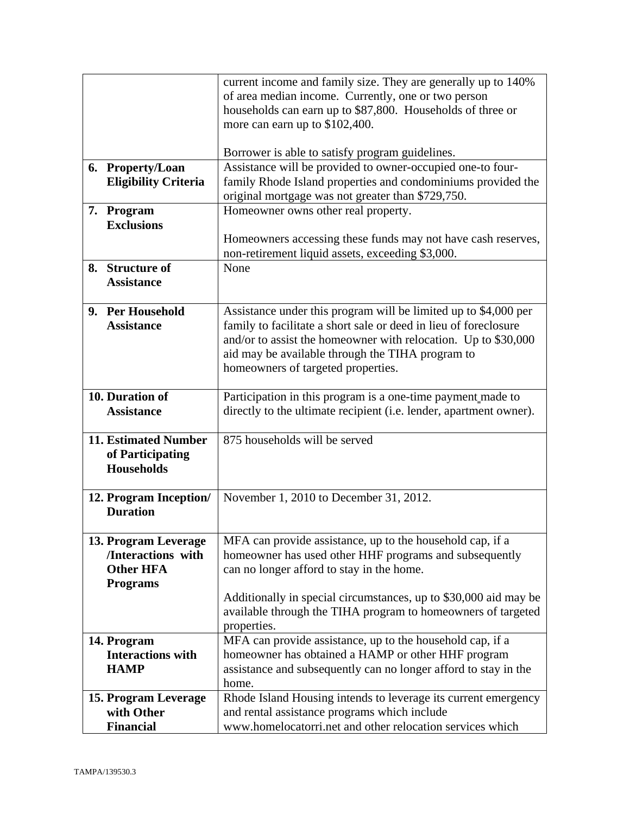|                             | current income and family size. They are generally up to 140%                                                                       |
|-----------------------------|-------------------------------------------------------------------------------------------------------------------------------------|
|                             | of area median income. Currently, one or two person                                                                                 |
|                             | households can earn up to \$87,800. Households of three or                                                                          |
|                             | more can earn up to \$102,400.                                                                                                      |
|                             |                                                                                                                                     |
|                             | Borrower is able to satisfy program guidelines.                                                                                     |
| 6. Property/Loan            | Assistance will be provided to owner-occupied one-to four-                                                                          |
| <b>Eligibility Criteria</b> | family Rhode Island properties and condominiums provided the                                                                        |
|                             | original mortgage was not greater than \$729,750.                                                                                   |
| 7. Program                  | Homeowner owns other real property.                                                                                                 |
| <b>Exclusions</b>           |                                                                                                                                     |
|                             | Homeowners accessing these funds may not have cash reserves,                                                                        |
|                             | non-retirement liquid assets, exceeding \$3,000.                                                                                    |
| 8. Structure of             | None                                                                                                                                |
| <b>Assistance</b>           |                                                                                                                                     |
| 9. Per Household            |                                                                                                                                     |
| <b>Assistance</b>           | Assistance under this program will be limited up to \$4,000 per<br>family to facilitate a short sale or deed in lieu of foreclosure |
|                             | and/or to assist the homeowner with relocation. Up to \$30,000                                                                      |
|                             | aid may be available through the TIHA program to                                                                                    |
|                             | homeowners of targeted properties.                                                                                                  |
|                             |                                                                                                                                     |
| 10. Duration of             | Participation in this program is a one-time payment made to                                                                         |
| <b>Assistance</b>           | directly to the ultimate recipient (i.e. lender, apartment owner).                                                                  |
|                             |                                                                                                                                     |
| <b>11. Estimated Number</b> | 875 households will be served                                                                                                       |
| of Participating            |                                                                                                                                     |
| <b>Households</b>           |                                                                                                                                     |
|                             |                                                                                                                                     |
| 12. Program Inception/      | November 1, 2010 to December 31, 2012.                                                                                              |
| <b>Duration</b>             |                                                                                                                                     |
|                             |                                                                                                                                     |
| 13. Program Leverage        | MFA can provide assistance, up to the household cap, if a                                                                           |
| /Interactions with          | homeowner has used other HHF programs and subsequently                                                                              |
| <b>Other HFA</b>            | can no longer afford to stay in the home.                                                                                           |
| <b>Programs</b>             |                                                                                                                                     |
|                             | Additionally in special circumstances, up to \$30,000 aid may be                                                                    |
|                             | available through the TIHA program to homeowners of targeted<br>properties.                                                         |
| 14. Program                 | MFA can provide assistance, up to the household cap, if a                                                                           |
| <b>Interactions with</b>    | homeowner has obtained a HAMP or other HHF program                                                                                  |
| <b>HAMP</b>                 | assistance and subsequently can no longer afford to stay in the                                                                     |
|                             | home.                                                                                                                               |
| 15. Program Leverage        | Rhode Island Housing intends to leverage its current emergency                                                                      |
| with Other                  | and rental assistance programs which include                                                                                        |
| <b>Financial</b>            | www.homelocatorri.net and other relocation services which                                                                           |
|                             |                                                                                                                                     |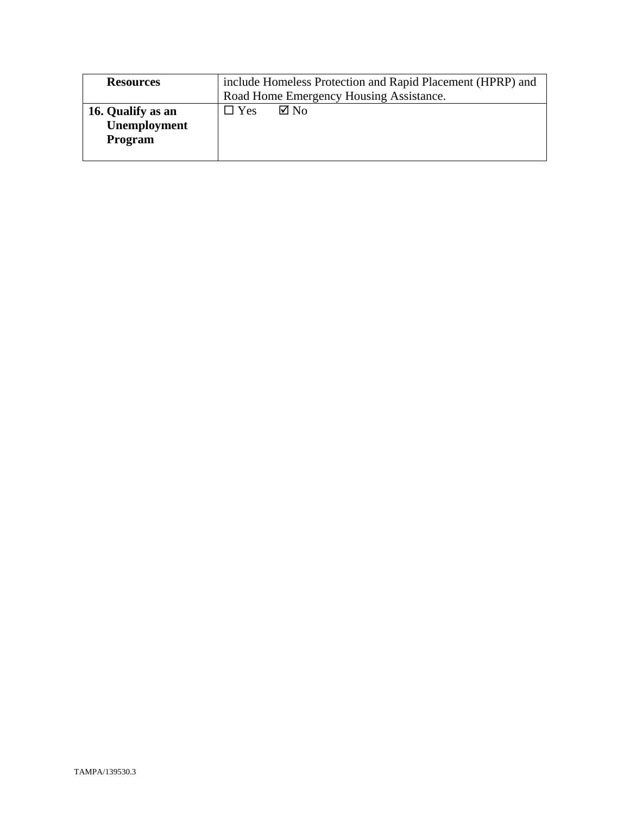| <b>Resources</b>                             | include Homeless Protection and Rapid Placement (HPRP) and<br>Road Home Emergency Housing Assistance. |
|----------------------------------------------|-------------------------------------------------------------------------------------------------------|
| 16. Qualify as an<br>Unemployment<br>Program | $\nabla$ No<br>$\square$ Yes                                                                          |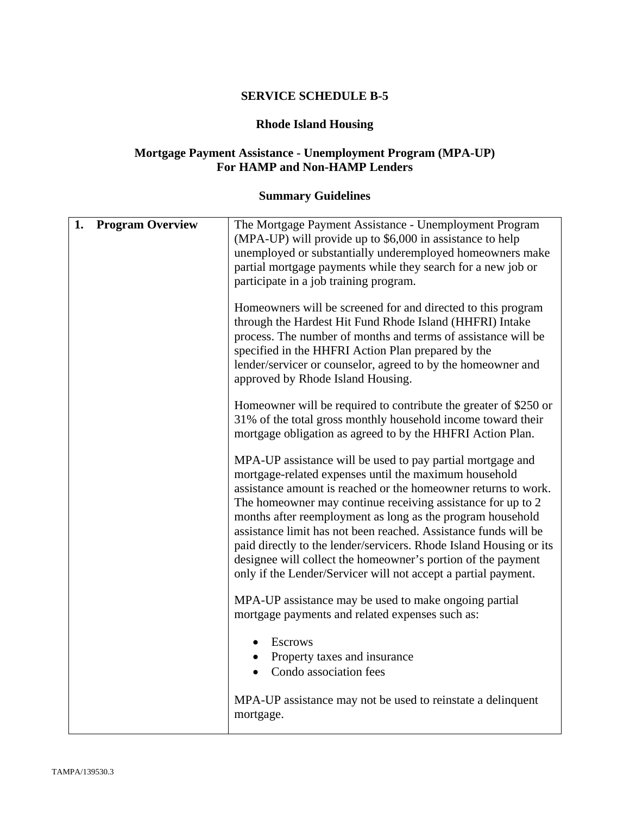#### **Rhode Island Housing**

#### **Mortgage Payment Assistance - Unemployment Program (MPA-UP) For HAMP and Non-HAMP Lenders**

# **Summary Guidelines**

| 1. | <b>Program Overview</b> | The Mortgage Payment Assistance - Unemployment Program<br>(MPA-UP) will provide up to \$6,000 in assistance to help<br>unemployed or substantially underemployed homeowners make<br>partial mortgage payments while they search for a new job or<br>participate in a job training program.                                                                                                                                                                                                                                                                                                    |
|----|-------------------------|-----------------------------------------------------------------------------------------------------------------------------------------------------------------------------------------------------------------------------------------------------------------------------------------------------------------------------------------------------------------------------------------------------------------------------------------------------------------------------------------------------------------------------------------------------------------------------------------------|
|    |                         | Homeowners will be screened for and directed to this program<br>through the Hardest Hit Fund Rhode Island (HHFRI) Intake<br>process. The number of months and terms of assistance will be<br>specified in the HHFRI Action Plan prepared by the<br>lender/servicer or counselor, agreed to by the homeowner and<br>approved by Rhode Island Housing.                                                                                                                                                                                                                                          |
|    |                         | Homeowner will be required to contribute the greater of \$250 or<br>31% of the total gross monthly household income toward their<br>mortgage obligation as agreed to by the HHFRI Action Plan.                                                                                                                                                                                                                                                                                                                                                                                                |
|    |                         | MPA-UP assistance will be used to pay partial mortgage and<br>mortgage-related expenses until the maximum household<br>assistance amount is reached or the homeowner returns to work.<br>The homeowner may continue receiving assistance for up to 2<br>months after reemployment as long as the program household<br>assistance limit has not been reached. Assistance funds will be<br>paid directly to the lender/servicers. Rhode Island Housing or its<br>designee will collect the homeowner's portion of the payment<br>only if the Lender/Servicer will not accept a partial payment. |
|    |                         | MPA-UP assistance may be used to make ongoing partial<br>mortgage payments and related expenses such as:                                                                                                                                                                                                                                                                                                                                                                                                                                                                                      |
|    |                         | <b>Escrows</b><br>$\bullet$<br>Property taxes and insurance<br>Condo association fees                                                                                                                                                                                                                                                                                                                                                                                                                                                                                                         |
|    |                         | MPA-UP assistance may not be used to reinstate a delinquent<br>mortgage.                                                                                                                                                                                                                                                                                                                                                                                                                                                                                                                      |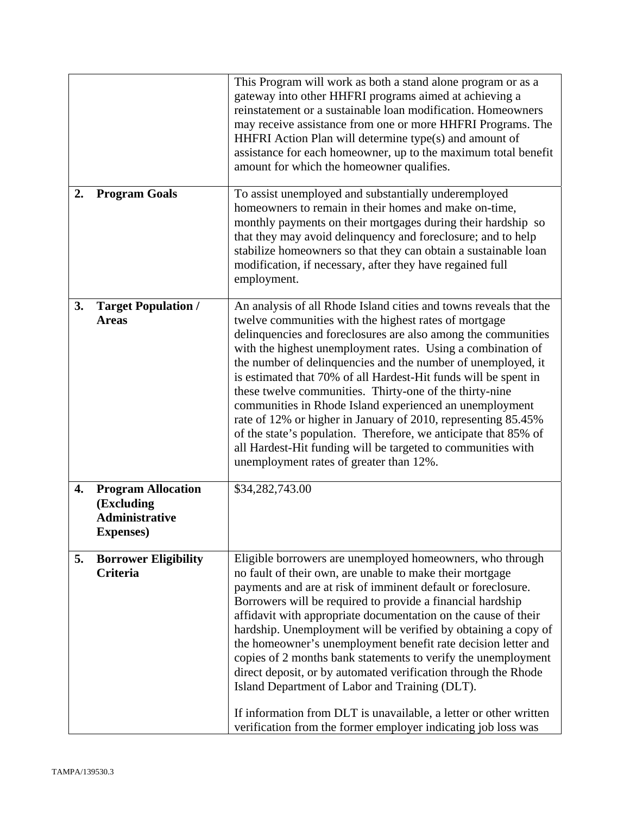|    |                                                                                      | This Program will work as both a stand alone program or as a<br>gateway into other HHFRI programs aimed at achieving a<br>reinstatement or a sustainable loan modification. Homeowners<br>may receive assistance from one or more HHFRI Programs. The<br>HHFRI Action Plan will determine type(s) and amount of<br>assistance for each homeowner, up to the maximum total benefit<br>amount for which the homeowner qualifies.                                                                                                                                                                                                                                                                                                                                                      |
|----|--------------------------------------------------------------------------------------|-------------------------------------------------------------------------------------------------------------------------------------------------------------------------------------------------------------------------------------------------------------------------------------------------------------------------------------------------------------------------------------------------------------------------------------------------------------------------------------------------------------------------------------------------------------------------------------------------------------------------------------------------------------------------------------------------------------------------------------------------------------------------------------|
| 2. | <b>Program Goals</b>                                                                 | To assist unemployed and substantially underemployed<br>homeowners to remain in their homes and make on-time,<br>monthly payments on their mortgages during their hardship so<br>that they may avoid delinquency and foreclosure; and to help<br>stabilize homeowners so that they can obtain a sustainable loan<br>modification, if necessary, after they have regained full<br>employment.                                                                                                                                                                                                                                                                                                                                                                                        |
| 3. | <b>Target Population /</b><br><b>Areas</b>                                           | An analysis of all Rhode Island cities and towns reveals that the<br>twelve communities with the highest rates of mortgage<br>delinquencies and foreclosures are also among the communities<br>with the highest unemployment rates. Using a combination of<br>the number of delinquencies and the number of unemployed, it<br>is estimated that 70% of all Hardest-Hit funds will be spent in<br>these twelve communities. Thirty-one of the thirty-nine<br>communities in Rhode Island experienced an unemployment<br>rate of 12% or higher in January of 2010, representing 85.45%<br>of the state's population. Therefore, we anticipate that 85% of<br>all Hardest-Hit funding will be targeted to communities with<br>unemployment rates of greater than 12%.                  |
| 4. | <b>Program Allocation</b><br>(Excluding<br><b>Administrative</b><br><b>Expenses)</b> | \$34,282,743.00                                                                                                                                                                                                                                                                                                                                                                                                                                                                                                                                                                                                                                                                                                                                                                     |
| 5. | <b>Borrower Eligibility</b><br>Criteria                                              | Eligible borrowers are unemployed homeowners, who through<br>no fault of their own, are unable to make their mortgage<br>payments and are at risk of imminent default or foreclosure.<br>Borrowers will be required to provide a financial hardship<br>affidavit with appropriate documentation on the cause of their<br>hardship. Unemployment will be verified by obtaining a copy of<br>the homeowner's unemployment benefit rate decision letter and<br>copies of 2 months bank statements to verify the unemployment<br>direct deposit, or by automated verification through the Rhode<br>Island Department of Labor and Training (DLT).<br>If information from DLT is unavailable, a letter or other written<br>verification from the former employer indicating job loss was |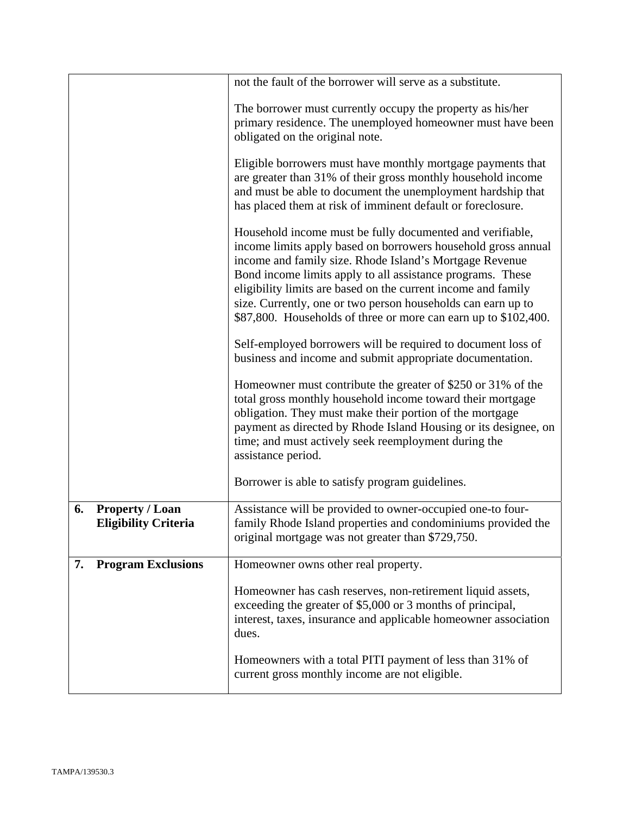|    |                                                       | not the fault of the borrower will serve as a substitute.                                                                                                                                                                                                                                                                                                                                                                                               |
|----|-------------------------------------------------------|---------------------------------------------------------------------------------------------------------------------------------------------------------------------------------------------------------------------------------------------------------------------------------------------------------------------------------------------------------------------------------------------------------------------------------------------------------|
|    |                                                       | The borrower must currently occupy the property as his/her<br>primary residence. The unemployed homeowner must have been<br>obligated on the original note.                                                                                                                                                                                                                                                                                             |
|    |                                                       | Eligible borrowers must have monthly mortgage payments that<br>are greater than 31% of their gross monthly household income<br>and must be able to document the unemployment hardship that<br>has placed them at risk of imminent default or foreclosure.                                                                                                                                                                                               |
|    |                                                       | Household income must be fully documented and verifiable,<br>income limits apply based on borrowers household gross annual<br>income and family size. Rhode Island's Mortgage Revenue<br>Bond income limits apply to all assistance programs. These<br>eligibility limits are based on the current income and family<br>size. Currently, one or two person households can earn up to<br>\$87,800. Households of three or more can earn up to \$102,400. |
|    |                                                       | Self-employed borrowers will be required to document loss of<br>business and income and submit appropriate documentation.                                                                                                                                                                                                                                                                                                                               |
|    |                                                       | Homeowner must contribute the greater of \$250 or 31% of the<br>total gross monthly household income toward their mortgage<br>obligation. They must make their portion of the mortgage<br>payment as directed by Rhode Island Housing or its designee, on<br>time; and must actively seek reemployment during the<br>assistance period.                                                                                                                 |
|    |                                                       | Borrower is able to satisfy program guidelines.                                                                                                                                                                                                                                                                                                                                                                                                         |
| 6. | <b>Property / Loan</b><br><b>Eligibility Criteria</b> | Assistance will be provided to owner-occupied one-to four-<br>family Rhode Island properties and condominiums provided the<br>original mortgage was not greater than \$729,750.                                                                                                                                                                                                                                                                         |
| 7. | <b>Program Exclusions</b>                             | Homeowner owns other real property.                                                                                                                                                                                                                                                                                                                                                                                                                     |
|    |                                                       | Homeowner has cash reserves, non-retirement liquid assets,<br>exceeding the greater of \$5,000 or 3 months of principal,<br>interest, taxes, insurance and applicable homeowner association<br>dues.                                                                                                                                                                                                                                                    |
|    |                                                       | Homeowners with a total PITI payment of less than 31% of<br>current gross monthly income are not eligible.                                                                                                                                                                                                                                                                                                                                              |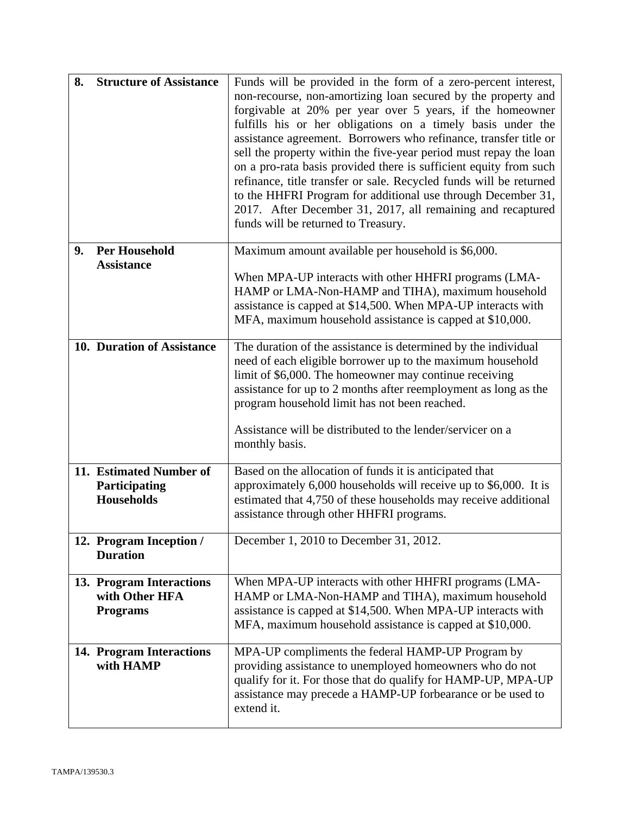| 8. | <b>Structure of Assistance</b>                                | Funds will be provided in the form of a zero-percent interest,<br>non-recourse, non-amortizing loan secured by the property and<br>forgivable at 20% per year over 5 years, if the homeowner<br>fulfills his or her obligations on a timely basis under the<br>assistance agreement. Borrowers who refinance, transfer title or<br>sell the property within the five-year period must repay the loan<br>on a pro-rata basis provided there is sufficient equity from such<br>refinance, title transfer or sale. Recycled funds will be returned<br>to the HHFRI Program for additional use through December 31,<br>2017. After December 31, 2017, all remaining and recaptured<br>funds will be returned to Treasury. |
|----|---------------------------------------------------------------|-----------------------------------------------------------------------------------------------------------------------------------------------------------------------------------------------------------------------------------------------------------------------------------------------------------------------------------------------------------------------------------------------------------------------------------------------------------------------------------------------------------------------------------------------------------------------------------------------------------------------------------------------------------------------------------------------------------------------|
| 9. | <b>Per Household</b><br><b>Assistance</b>                     | Maximum amount available per household is \$6,000.<br>When MPA-UP interacts with other HHFRI programs (LMA-<br>HAMP or LMA-Non-HAMP and TIHA), maximum household<br>assistance is capped at \$14,500. When MPA-UP interacts with<br>MFA, maximum household assistance is capped at \$10,000.                                                                                                                                                                                                                                                                                                                                                                                                                          |
|    | 10. Duration of Assistance                                    | The duration of the assistance is determined by the individual<br>need of each eligible borrower up to the maximum household<br>limit of \$6,000. The homeowner may continue receiving<br>assistance for up to 2 months after reemployment as long as the<br>program household limit has not been reached.<br>Assistance will be distributed to the lender/servicer on a<br>monthly basis.                                                                                                                                                                                                                                                                                                                            |
|    | 11. Estimated Number of<br>Participating<br>Households        | Based on the allocation of funds it is anticipated that<br>approximately 6,000 households will receive up to \$6,000. It is<br>estimated that 4,750 of these households may receive additional<br>assistance through other HHFRI programs.                                                                                                                                                                                                                                                                                                                                                                                                                                                                            |
|    | 12. Program Inception /<br><b>Duration</b>                    | December 1, 2010 to December 31, 2012.                                                                                                                                                                                                                                                                                                                                                                                                                                                                                                                                                                                                                                                                                |
|    | 13. Program Interactions<br>with Other HFA<br><b>Programs</b> | When MPA-UP interacts with other HHFRI programs (LMA-<br>HAMP or LMA-Non-HAMP and TIHA), maximum household<br>assistance is capped at \$14,500. When MPA-UP interacts with<br>MFA, maximum household assistance is capped at \$10,000.                                                                                                                                                                                                                                                                                                                                                                                                                                                                                |
|    | 14. Program Interactions<br>with HAMP                         | MPA-UP compliments the federal HAMP-UP Program by<br>providing assistance to unemployed homeowners who do not<br>qualify for it. For those that do qualify for HAMP-UP, MPA-UP<br>assistance may precede a HAMP-UP forbearance or be used to<br>extend it.                                                                                                                                                                                                                                                                                                                                                                                                                                                            |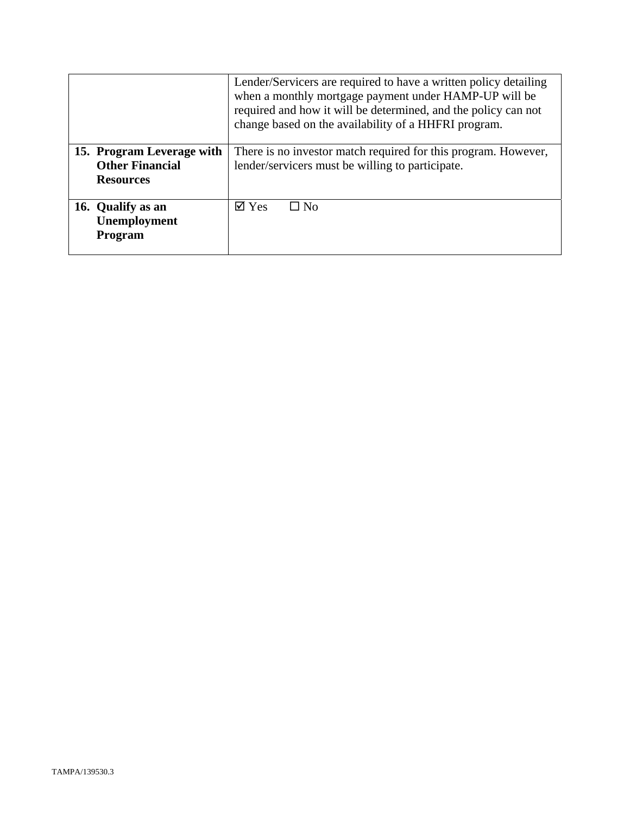|                                                                         | Lender/Servicers are required to have a written policy detailing<br>when a monthly mortgage payment under HAMP-UP will be<br>required and how it will be determined, and the policy can not<br>change based on the availability of a HHFRI program. |
|-------------------------------------------------------------------------|-----------------------------------------------------------------------------------------------------------------------------------------------------------------------------------------------------------------------------------------------------|
| 15. Program Leverage with<br><b>Other Financial</b><br><b>Resources</b> | There is no investor match required for this program. However,<br>lender/servicers must be willing to participate.                                                                                                                                  |
| 16. Qualify as an<br>Unemployment<br>Program                            | $\boxtimes$ Yes<br>$\square$ No                                                                                                                                                                                                                     |